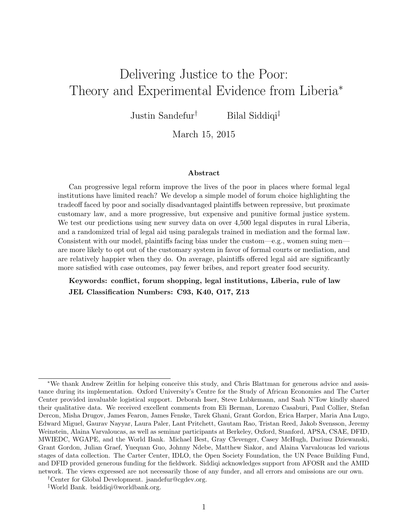# <span id="page-0-0"></span>Delivering Justice to the Poor: Theory and Experimental Evidence from Liberia<sup>\*</sup>

Justin Sandefur<sup>†</sup> Bilal Siddiqi<sup>‡</sup>

March 15, 2015

#### Abstract

Can progressive legal reform improve the lives of the poor in places where formal legal institutions have limited reach? We develop a simple model of forum choice highlighting the tradeoff faced by poor and socially disadvantaged plaintiffs between repressive, but proximate customary law, and a more progressive, but expensive and punitive formal justice system. We test our predictions using new survey data on over 4,500 legal disputes in rural Liberia, and a randomized trial of legal aid using paralegals trained in mediation and the formal law. Consistent with our model, plaintiffs facing bias under the custom—e.g., women suing men are more likely to opt out of the customary system in favor of formal courts or mediation, and are relatively happier when they do. On average, plaintiffs offered legal aid are significantly more satisfied with case outcomes, pay fewer bribes, and report greater food security.

Keywords: conflict, forum shopping, legal institutions, Liberia, rule of law JEL Classification Numbers: C93, K40, O17, Z13

<sup>∗</sup>We thank Andrew Zeitlin for helping conceive this study, and Chris Blattman for generous advice and assistance during its implementation. Oxford University's Centre for the Study of African Economies and The Carter Center provided invaluable logistical support. Deborah Isser, Steve Lubkemann, and Saah N'Tow kindly shared their qualitative data. We received excellent comments from Eli Berman, Lorenzo Casaburi, Paul Collier, Stefan Dercon, Misha Drugov, James Fearon, James Fenske, Tarek Ghani, Grant Gordon, Erica Harper, Maria Ana Lugo, Edward Miguel, Gaurav Nayyar, Laura Paler, Lant Pritchett, Gautam Rao, Tristan Reed, Jakob Svensson, Jeremy Weinstein, Alaina Varvaloucas, as well as seminar participants at Berkeley, Oxford, Stanford, APSA, CSAE, DFID, MWIEDC, WGAPE, and the World Bank. Michael Best, Gray Clevenger, Casey McHugh, Dariusz Dziewanski, Grant Gordon, Julian Graef, Yuequan Guo, Johnny Ndebe, Matthew Siakor, and Alaina Varvaloucas led various stages of data collection. The Carter Center, IDLO, the Open Society Foundation, the UN Peace Building Fund, and DFID provided generous funding for the fieldwork. Siddiqi acknowledges support from AFOSR and the AMID network. The views expressed are not necessarily those of any funder, and all errors and omissions are our own.

<sup>†</sup>Center for Global Development. [jsandefur@cgdev.org.](mailto:jsandefur@cgdev.org)

<sup>‡</sup>World Bank. [bsiddiqi@worldbank.org.](mailto:bsiddiqi@worldbank.org)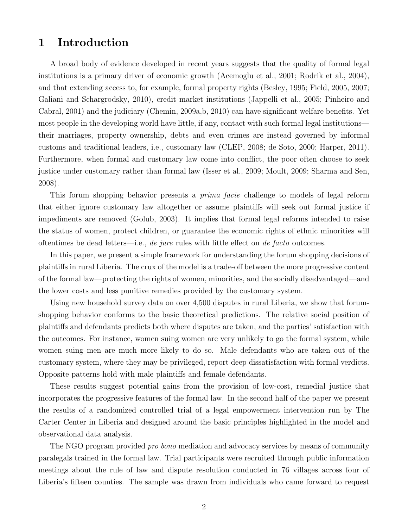# 1 Introduction

A broad body of evidence developed in recent years suggests that the quality of formal legal institutions is a primary driver of economic growth [\(Acemoglu et al.,](#page-37-0) [2001;](#page-37-0) [Rodrik et al.,](#page-39-0) [2004\)](#page-39-0), and that extending access to, for example, formal property rights [\(Besley,](#page-37-1) [1995;](#page-37-1) [Field,](#page-38-0) [2005,](#page-38-0) [2007;](#page-38-1) [Galiani and Schargrodsky,](#page-38-2) [2010\)](#page-38-2), credit market institutions [\(Jappelli et al.,](#page-38-3) [2005;](#page-38-3) [Pinheiro and](#page-39-1) [Cabral,](#page-39-1) [2001\)](#page-39-1) and the judiciary [\(Chemin,](#page-37-2) [2009a,](#page-37-2)[b,](#page-37-3) [2010\)](#page-38-4) can have significant welfare benefits. Yet most people in the developing world have little, if any, contact with such formal legal institutions their marriages, property ownership, debts and even crimes are instead governed by informal customs and traditional leaders, i.e., customary law [\(CLEP,](#page-38-5) [2008;](#page-38-5) [de Soto,](#page-38-6) [2000;](#page-38-6) [Harper,](#page-38-7) [2011\)](#page-38-7). Furthermore, when formal and customary law come into conflict, the poor often choose to seek justice under customary rather than formal law [\(Isser et al.,](#page-38-8) [2009;](#page-38-8) [Moult,](#page-39-2) [2009;](#page-39-2) [Sharma and Sen,](#page-39-3) [2008\)](#page-39-3).

This forum shopping behavior presents a *prima facie* challenge to models of legal reform that either ignore customary law altogether or assume plaintiffs will seek out formal justice if impediments are removed [\(Golub,](#page-38-9) [2003\)](#page-38-9). It implies that formal legal reforms intended to raise the status of women, protect children, or guarantee the economic rights of ethnic minorities will oftentimes be dead letters—i.e., *de jure* rules with little effect on *de facto* outcomes.

In this paper, we present a simple framework for understanding the forum shopping decisions of plaintiffs in rural Liberia. The crux of the model is a trade-off between the more progressive content of the formal law—protecting the rights of women, minorities, and the socially disadvantaged—and the lower costs and less punitive remedies provided by the customary system.

Using new household survey data on over 4,500 disputes in rural Liberia, we show that forumshopping behavior conforms to the basic theoretical predictions. The relative social position of plaintiffs and defendants predicts both where disputes are taken, and the parties' satisfaction with the outcomes. For instance, women suing women are very unlikely to go the formal system, while women suing men are much more likely to do so. Male defendants who are taken out of the customary system, where they may be privileged, report deep dissatisfaction with formal verdicts. Opposite patterns hold with male plaintiffs and female defendants.

These results suggest potential gains from the provision of low-cost, remedial justice that incorporates the progressive features of the formal law. In the second half of the paper we present the results of a randomized controlled trial of a legal empowerment intervention run by The Carter Center in Liberia and designed around the basic principles highlighted in the model and observational data analysis.

The NGO program provided *pro bono* mediation and advocacy services by means of community paralegals trained in the formal law. Trial participants were recruited through public information meetings about the rule of law and dispute resolution conducted in 76 villages across four of Liberia's fifteen counties. The sample was drawn from individuals who came forward to request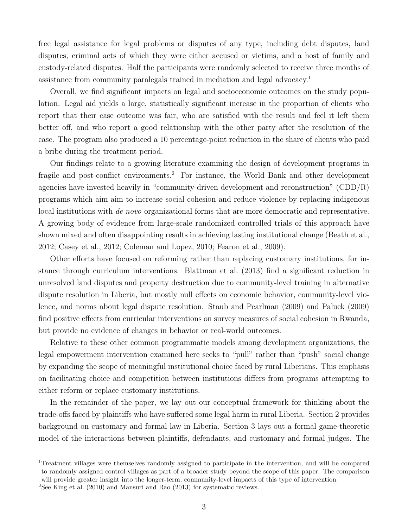free legal assistance for legal problems or disputes of any type, including debt disputes, land disputes, criminal acts of which they were either accused or victims, and a host of family and custody-related disputes. Half the participants were randomly selected to receive three months of assistance from community paralegals trained in mediation and legal advocacy.[1](#page-0-0)

Overall, we find significant impacts on legal and socioeconomic outcomes on the study population. Legal aid yields a large, statistically significant increase in the proportion of clients who report that their case outcome was fair, who are satisfied with the result and feel it left them better off, and who report a good relationship with the other party after the resolution of the case. The program also produced a 10 percentage-point reduction in the share of clients who paid a bribe during the treatment period.

Our findings relate to a growing literature examining the design of development programs in fragile and post-conflict environments.<sup>[2](#page-0-0)</sup> For instance, the World Bank and other development agencies have invested heavily in "community-driven development and reconstruction" (CDD/R) programs which aim aim to increase social cohesion and reduce violence by replacing indigenous local institutions with de novo organizational forms that are more democratic and representative. A growing body of evidence from large-scale randomized controlled trials of this approach have shown mixed and often disappointing results in achieving lasting institutional change [\(Beath et al.,](#page-37-4) [2012;](#page-37-4) [Casey et al.,](#page-37-5) [2012;](#page-37-5) [Coleman and Lopez,](#page-38-10) [2010;](#page-38-10) [Fearon et al.,](#page-38-11) [2009\)](#page-38-11).

Other efforts have focused on reforming rather than replacing customary institutions, for instance through curriculum interventions. [Blattman et al.](#page-37-6) [\(2013\)](#page-37-6) find a significant reduction in unresolved land disputes and property destruction due to community-level training in alternative dispute resolution in Liberia, but mostly null effects on economic behavior, community-level violence, and norms about legal dispute resolution. [Staub and Pearlman](#page-39-4) [\(2009\)](#page-39-4) and [Paluck](#page-39-5) [\(2009\)](#page-39-5) find positive effects from curricular interventions on survey measures of social cohesion in Rwanda, but provide no evidence of changes in behavior or real-world outcomes.

Relative to these other common programmatic models among development organizations, the legal empowerment intervention examined here seeks to "pull" rather than "push" social change by expanding the scope of meaningful institutional choice faced by rural Liberians. This emphasis on facilitating choice and competition between institutions differs from programs attempting to either reform or replace customary institutions.

In the remainder of the paper, we lay out our conceptual framework for thinking about the trade-offs faced by plaintiffs who have suffered some legal harm in rural Liberia. Section [2](#page-3-0) provides background on customary and formal law in Liberia. Section [3](#page-7-0) lays out a formal game-theoretic model of the interactions between plaintiffs, defendants, and customary and formal judges. The

<sup>1</sup>Treatment villages were themselves randomly assigned to participate in the intervention, and will be compared to randomly assigned control villages as part of a broader study beyond the scope of this paper. The comparison will provide greater insight into the longer-term, community-level impacts of this type of intervention.

<sup>2</sup>See [King et al.](#page-39-6) [\(2010\)](#page-39-6) and [Mansuri and Rao](#page-39-7) [\(2013\)](#page-39-7) for systematic reviews.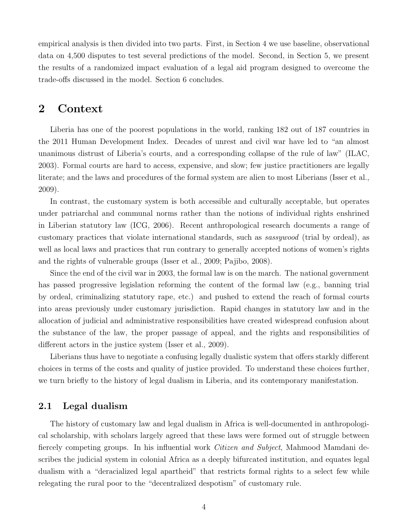empirical analysis is then divided into two parts. First, in Section [4](#page-15-0) we use baseline, observational data on 4,500 disputes to test several predictions of the model. Second, in Section [5,](#page-23-0) we present the results of a randomized impact evaluation of a legal aid program designed to overcome the trade-offs discussed in the model. Section [6](#page-36-0) concludes.

## <span id="page-3-0"></span>2 Context

Liberia has one of the poorest populations in the world, ranking 182 out of 187 countries in the 2011 Human Development Index. Decades of unrest and civil war have led to "an almost unanimous distrust of Liberia's courts, and a corresponding collapse of the rule of law" [\(ILAC,](#page-38-12) [2003\)](#page-38-12). Formal courts are hard to access, expensive, and slow; few justice practitioners are legally literate; and the laws and procedures of the formal system are alien to most Liberians [\(Isser et al.,](#page-38-8) [2009\)](#page-38-8).

In contrast, the customary system is both accessible and culturally acceptable, but operates under patriarchal and communal norms rather than the notions of individual rights enshrined in Liberian statutory law [\(ICG,](#page-38-13) [2006\)](#page-38-13). Recent anthropological research documents a range of customary practices that violate international standards, such as sassywood (trial by ordeal), as well as local laws and practices that run contrary to generally accepted notions of women's rights and the rights of vulnerable groups [\(Isser et al.,](#page-38-8) [2009;](#page-38-8) [Pajibo,](#page-39-8) [2008\)](#page-39-8).

Since the end of the civil war in 2003, the formal law is on the march. The national government has passed progressive legislation reforming the content of the formal law (e.g., banning trial by ordeal, criminalizing statutory rape, etc.) and pushed to extend the reach of formal courts into areas previously under customary jurisdiction. Rapid changes in statutory law and in the allocation of judicial and administrative responsibilities have created widespread confusion about the substance of the law, the proper passage of appeal, and the rights and responsibilities of different actors in the justice system [\(Isser et al.,](#page-38-8) [2009\)](#page-38-8).

Liberians thus have to negotiate a confusing legally dualistic system that offers starkly different choices in terms of the costs and quality of justice provided. To understand these choices further, we turn briefly to the history of legal dualism in Liberia, and its contemporary manifestation.

## 2.1 Legal dualism

The history of customary law and legal dualism in Africa is well-documented in anthropological scholarship, with scholars largely agreed that these laws were formed out of struggle between fiercely competing groups. In his influential work *Citizen and Subject*, Mahmood Mamdani describes the judicial system in colonial Africa as a deeply bifurcated institution, and equates legal dualism with a "deracialized legal apartheid" that restricts formal rights to a select few while relegating the rural poor to the "decentralized despotism" of customary rule.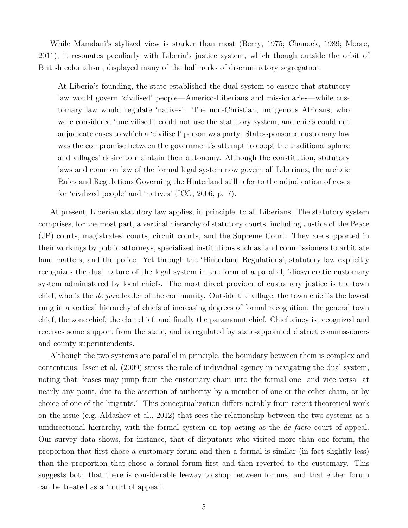While Mamdani's stylized view is starker than most [\(Berry,](#page-37-7) [1975;](#page-37-7) [Chanock,](#page-37-8) [1989;](#page-37-8) [Moore,](#page-39-9) [2011\)](#page-39-9), it resonates peculiarly with Liberia's justice system, which though outside the orbit of British colonialism, displayed many of the hallmarks of discriminatory segregation:

At Liberia's founding, the state established the dual system to ensure that statutory law would govern 'civilised' people—Americo-Liberians and missionaries—while customary law would regulate 'natives'. The non-Christian, indigenous Africans, who were considered 'uncivilised', could not use the statutory system, and chiefs could not adjudicate cases to which a 'civilised' person was party. State-sponsored customary law was the compromise between the government's attempt to coopt the traditional sphere and villages' desire to maintain their autonomy. Although the constitution, statutory laws and common law of the formal legal system now govern all Liberians, the archaic Rules and Regulations Governing the Hinterland still refer to the adjudication of cases for 'civilized people' and 'natives' [\(ICG,](#page-38-13) [2006,](#page-38-13) p. 7).

At present, Liberian statutory law applies, in principle, to all Liberians. The statutory system comprises, for the most part, a vertical hierarchy of statutory courts, including Justice of the Peace (JP) courts, magistrates' courts, circuit courts, and the Supreme Court. They are supported in their workings by public attorneys, specialized institutions such as land commissioners to arbitrate land matters, and the police. Yet through the 'Hinterland Regulations', statutory law explicitly recognizes the dual nature of the legal system in the form of a parallel, idiosyncratic customary system administered by local chiefs. The most direct provider of customary justice is the town chief, who is the de jure leader of the community. Outside the village, the town chief is the lowest rung in a vertical hierarchy of chiefs of increasing degrees of formal recognition: the general town chief, the zone chief, the clan chief, and finally the paramount chief. Chieftaincy is recognized and receives some support from the state, and is regulated by state-appointed district commissioners and county superintendents.

Although the two systems are parallel in principle, the boundary between them is complex and contentious. [Isser et al.](#page-38-8) [\(2009\)](#page-38-8) stress the role of individual agency in navigating the dual system, noting that "cases may jump from the customary chain into the formal one and vice versa at nearly any point, due to the assertion of authority by a member of one or the other chain, or by choice of one of the litigants." This conceptualization differs notably from recent theoretical work on the issue (e.g. [Aldashev et al.,](#page-37-9) [2012\)](#page-37-9) that sees the relationship between the two systems as a unidirectional hierarchy, with the formal system on top acting as the de facto court of appeal. Our survey data shows, for instance, that of disputants who visited more than one forum, the proportion that first chose a customary forum and then a formal is similar (in fact slightly less) than the proportion that chose a formal forum first and then reverted to the customary. This suggests both that there is considerable leeway to shop between forums, and that either forum can be treated as a 'court of appeal'.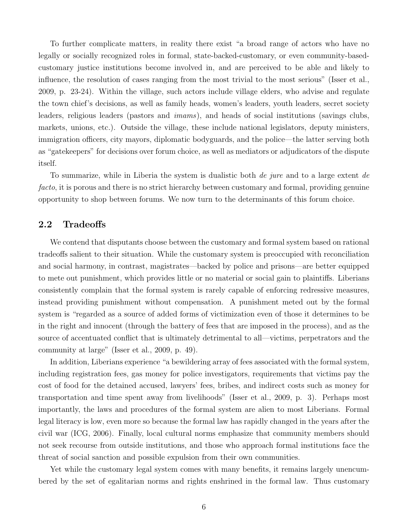To further complicate matters, in reality there exist "a broad range of actors who have no legally or socially recognized roles in formal, state-backed-customary, or even community-basedcustomary justice institutions become involved in, and are perceived to be able and likely to influence, the resolution of cases ranging from the most trivial to the most serious" [\(Isser et al.,](#page-38-8) [2009,](#page-38-8) p. 23-24). Within the village, such actors include village elders, who advise and regulate the town chief's decisions, as well as family heads, women's leaders, youth leaders, secret society leaders, religious leaders (pastors and imams), and heads of social institutions (savings clubs, markets, unions, etc.). Outside the village, these include national legislators, deputy ministers, immigration officers, city mayors, diplomatic bodyguards, and the police—the latter serving both as "gatekeepers" for decisions over forum choice, as well as mediators or adjudicators of the dispute itself.

To summarize, while in Liberia the system is dualistic both de jure and to a large extent de facto, it is porous and there is no strict hierarchy between customary and formal, providing genuine opportunity to shop between forums. We now turn to the determinants of this forum choice.

## <span id="page-5-0"></span>2.2 Tradeoffs

We contend that disputants choose between the customary and formal system based on rational tradeoffs salient to their situation. While the customary system is preoccupied with reconciliation and social harmony, in contrast, magistrates—backed by police and prisons—are better equipped to mete out punishment, which provides little or no material or social gain to plaintiffs. Liberians consistently complain that the formal system is rarely capable of enforcing redressive measures, instead providing punishment without compensation. A punishment meted out by the formal system is "regarded as a source of added forms of victimization even of those it determines to be in the right and innocent (through the battery of fees that are imposed in the process), and as the source of accentuated conflict that is ultimately detrimental to all—victims, perpetrators and the community at large" [\(Isser et al.,](#page-38-8) [2009,](#page-38-8) p. 49).

In addition, Liberians experience "a bewildering array of fees associated with the formal system, including registration fees, gas money for police investigators, requirements that victims pay the cost of food for the detained accused, lawyers' fees, bribes, and indirect costs such as money for transportation and time spent away from livelihoods" [\(Isser et al.,](#page-38-8) [2009,](#page-38-8) p. 3). Perhaps most importantly, the laws and procedures of the formal system are alien to most Liberians. Formal legal literacy is low, even more so because the formal law has rapidly changed in the years after the civil war [\(ICG,](#page-38-13) [2006\)](#page-38-13). Finally, local cultural norms emphasize that community members should not seek recourse from outside institutions, and those who approach formal institutions face the threat of social sanction and possible expulsion from their own communities.

Yet while the customary legal system comes with many benefits, it remains largely unencumbered by the set of egalitarian norms and rights enshrined in the formal law. Thus customary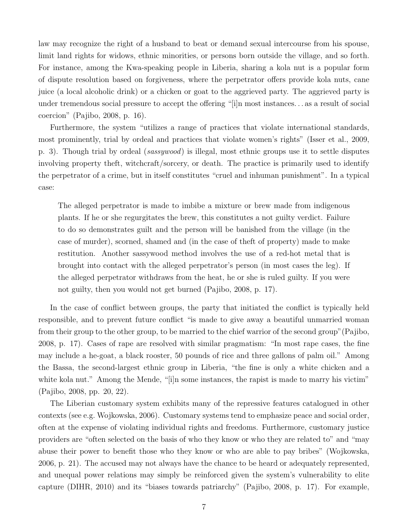law may recognize the right of a husband to beat or demand sexual intercourse from his spouse, limit land rights for widows, ethnic minorities, or persons born outside the village, and so forth. For instance, among the Kwa-speaking people in Liberia, sharing a kola nut is a popular form of dispute resolution based on forgiveness, where the perpetrator offers provide kola nuts, cane juice (a local alcoholic drink) or a chicken or goat to the aggrieved party. The aggrieved party is under tremendous social pressure to accept the offering "[i]n most instances. . . as a result of social coercion" [\(Pajibo,](#page-39-8) [2008,](#page-39-8) p. 16).

Furthermore, the system "utilizes a range of practices that violate international standards, most prominently, trial by ordeal and practices that violate women's rights" [\(Isser et al.,](#page-38-8) [2009,](#page-38-8) p. 3). Though trial by ordeal (sassywood) is illegal, most ethnic groups use it to settle disputes involving property theft, witchcraft/sorcery, or death. The practice is primarily used to identify the perpetrator of a crime, but in itself constitutes "cruel and inhuman punishment". In a typical case:

The alleged perpetrator is made to imbibe a mixture or brew made from indigenous plants. If he or she regurgitates the brew, this constitutes a not guilty verdict. Failure to do so demonstrates guilt and the person will be banished from the village (in the case of murder), scorned, shamed and (in the case of theft of property) made to make restitution. Another sassywood method involves the use of a red-hot metal that is brought into contact with the alleged perpetrator's person (in most cases the leg). If the alleged perpetrator withdraws from the heat, he or she is ruled guilty. If you were not guilty, then you would not get burned [\(Pajibo,](#page-39-8) [2008,](#page-39-8) p. 17).

In the case of conflict between groups, the party that initiated the conflict is typically held responsible, and to prevent future conflict "is made to give away a beautiful unmarried woman from their group to the other group, to be married to the chief warrior of the second group"[\(Pajibo,](#page-39-8) [2008,](#page-39-8) p. 17). Cases of rape are resolved with similar pragmatism: "In most rape cases, the fine may include a he-goat, a black rooster, 50 pounds of rice and three gallons of palm oil." Among the Bassa, the second-largest ethnic group in Liberia, "the fine is only a white chicken and a white kola nut." Among the Mende, "[i]n some instances, the rapist is made to marry his victim" [\(Pajibo,](#page-39-8) [2008,](#page-39-8) pp. 20, 22).

The Liberian customary system exhibits many of the repressive features catalogued in other contexts (see e.g. [Wojkowska,](#page-40-0) [2006\)](#page-40-0). Customary systems tend to emphasize peace and social order, often at the expense of violating individual rights and freedoms. Furthermore, customary justice providers are "often selected on the basis of who they know or who they are related to" and "may abuse their power to benefit those who they know or who are able to pay bribes" [\(Wojkowska,](#page-40-0) [2006,](#page-40-0) p. 21). The accused may not always have the chance to be heard or adequately represented, and unequal power relations may simply be reinforced given the system's vulnerability to elite capture [\(DIHR,](#page-38-14) [2010\)](#page-38-14) and its "biases towards patriarchy" [\(Pajibo,](#page-39-8) [2008,](#page-39-8) p. 17). For example,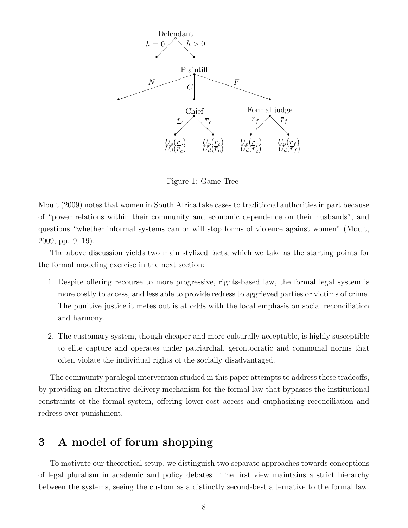<span id="page-7-1"></span>

Figure 1: Game Tree

[Moult](#page-39-2) [\(2009\)](#page-39-2) notes that women in South Africa take cases to traditional authorities in part because of "power relations within their community and economic dependence on their husbands", and questions "whether informal systems can or will stop forms of violence against women" [\(Moult,](#page-39-2) [2009,](#page-39-2) pp. 9, 19).

The above discussion yields two main stylized facts, which we take as the starting points for the formal modeling exercise in the next section:

- 1. Despite offering recourse to more progressive, rights-based law, the formal legal system is more costly to access, and less able to provide redress to aggrieved parties or victims of crime. The punitive justice it metes out is at odds with the local emphasis on social reconciliation and harmony.
- 2. The customary system, though cheaper and more culturally acceptable, is highly susceptible to elite capture and operates under patriarchal, gerontocratic and communal norms that often violate the individual rights of the socially disadvantaged.

The community paralegal intervention studied in this paper attempts to address these tradeoffs, by providing an alternative delivery mechanism for the formal law that bypasses the institutional constraints of the formal system, offering lower-cost access and emphasizing reconciliation and redress over punishment.

# <span id="page-7-0"></span>3 A model of forum shopping

To motivate our theoretical setup, we distinguish two separate approaches towards conceptions of legal pluralism in academic and policy debates. The first view maintains a strict hierarchy between the systems, seeing the custom as a distinctly second-best alternative to the formal law.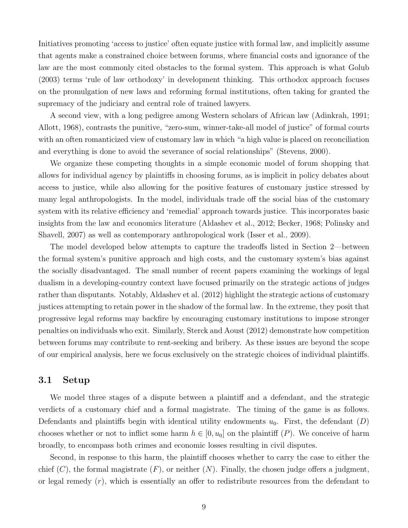Initiatives promoting 'access to justice' often equate justice with formal law, and implicitly assume that agents make a constrained choice between forums, where financial costs and ignorance of the law are the most commonly cited obstacles to the formal system. This approach is what [Golub](#page-38-9) [\(2003\)](#page-38-9) terms 'rule of law orthodoxy' in development thinking. This orthodox approach focuses on the promulgation of new laws and reforming formal institutions, often taking for granted the supremacy of the judiciary and central role of trained lawyers.

A second view, with a long pedigree among Western scholars of African law [\(Adinkrah,](#page-37-10) [1991;](#page-37-10) [Allott,](#page-37-11) [1968\)](#page-37-11), contrasts the punitive, "zero-sum, winner-take-all model of justice" of formal courts with an often romanticized view of customary law in which "a high value is placed on reconciliation and everything is done to avoid the severance of social relationships" [\(Stevens,](#page-40-1) [2000\)](#page-40-1).

We organize these competing thoughts in a simple economic model of forum shopping that allows for individual agency by plaintiffs in choosing forums, as is implicit in policy debates about access to justice, while also allowing for the positive features of customary justice stressed by many legal anthropologists. In the model, individuals trade off the social bias of the customary system with its relative efficiency and 'remedial' approach towards justice. This incorporates basic insights from the law and economics literature [\(Aldashev et al.,](#page-37-9) [2012;](#page-37-9) [Becker,](#page-37-12) [1968;](#page-37-12) [Polinsky and](#page-39-10) [Shavell,](#page-39-10) [2007\)](#page-39-10) as well as contemporary anthropological work [\(Isser et al.,](#page-38-8) [2009\)](#page-38-8).

The model developed below attempts to capture the tradeoffs listed in Section [2—](#page-3-0)between the formal system's punitive approach and high costs, and the customary system's bias against the socially disadvantaged. The small number of recent papers examining the workings of legal dualism in a developing-country context have focused primarily on the strategic actions of judges rather than disputants. Notably, [Aldashev et al.](#page-37-9) [\(2012\)](#page-37-9) highlight the strategic actions of customary justices attempting to retain power in the shadow of the formal law. In the extreme, they posit that progressive legal reforms may backfire by encouraging customary institutions to impose stronger penalties on individuals who exit. Similarly, [Sterck and Aoust](#page-40-2) [\(2012\)](#page-40-2) demonstrate how competition between forums may contribute to rent-seeking and bribery. As these issues are beyond the scope of our empirical analysis, here we focus exclusively on the strategic choices of individual plaintiffs.

#### 3.1 Setup

We model three stages of a dispute between a plaintiff and a defendant, and the strategic verdicts of a customary chief and a formal magistrate. The timing of the game is as follows. Defendants and plaintiffs begin with identical utility endowments  $u_0$ . First, the defendant  $(D)$ chooses whether or not to inflict some harm  $h \in [0, u_0]$  on the plaintiff  $(P)$ . We conceive of harm broadly, to encompass both crimes and economic losses resulting in civil disputes.

Second, in response to this harm, the plaintiff chooses whether to carry the case to either the chief  $(C)$ , the formal magistrate  $(F)$ , or neither  $(N)$ . Finally, the chosen judge offers a judgment, or legal remedy  $(r)$ , which is essentially an offer to redistribute resources from the defendant to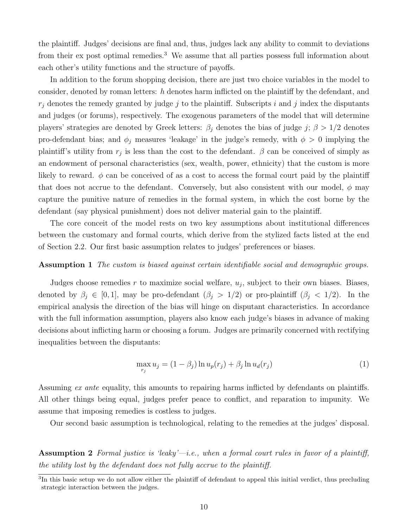the plaintiff. Judges' decisions are final and, thus, judges lack any ability to commit to deviations from their ex post optimal remedies.[3](#page-0-0) We assume that all parties possess full information about each other's utility functions and the structure of payoffs.

In addition to the forum shopping decision, there are just two choice variables in the model to consider, denoted by roman letters: h denotes harm inflicted on the plaintiff by the defendant, and  $r_j$  denotes the remedy granted by judge j to the plaintiff. Subscripts i and j index the disputants and judges (or forums), respectively. The exogenous parameters of the model that will determine players' strategies are denoted by Greek letters:  $\beta_j$  denotes the bias of judge j;  $\beta > 1/2$  denotes pro-defendant bias; and  $\phi_j$  measures 'leakage' in the judge's remedy, with  $\phi > 0$  implying the plaintiff's utility from  $r_j$  is less than the cost to the defendant.  $\beta$  can be conceived of simply as an endowment of personal characteristics (sex, wealth, power, ethnicity) that the custom is more likely to reward.  $\phi$  can be conceived of as a cost to access the formal court paid by the plaintiff that does not accrue to the defendant. Conversely, but also consistent with our model,  $\phi$  may capture the punitive nature of remedies in the formal system, in which the cost borne by the defendant (say physical punishment) does not deliver material gain to the plaintiff.

The core conceit of the model rests on two key assumptions about institutional differences between the customary and formal courts, which derive from the stylized facts listed at the end of Section [2.2.](#page-5-0) Our first basic assumption relates to judges' preferences or biases.

#### Assumption 1 The custom is biased against certain identifiable social and demographic groups.

Judges choose remedies  $r$  to maximize social welfare,  $u_j$ , subject to their own biases. Biases, denoted by  $\beta_j \in [0,1]$ , may be pro-defendant  $(\beta_j > 1/2)$  or pro-plaintiff  $(\beta_j < 1/2)$ . In the empirical analysis the direction of the bias will hinge on disputant characteristics. In accordance with the full information assumption, players also know each judge's biases in advance of making decisions about inflicting harm or choosing a forum. Judges are primarily concerned with rectifying inequalities between the disputants:

<span id="page-9-1"></span>
$$
\max_{r_j} u_j = (1 - \beta_j) \ln u_p(r_j) + \beta_j \ln u_d(r_j)
$$
\n(1)

Assuming ex ante equality, this amounts to repairing harms inflicted by defendants on plaintiffs. All other things being equal, judges prefer peace to conflict, and reparation to impunity. We assume that imposing remedies is costless to judges.

<span id="page-9-0"></span>Our second basic assumption is technological, relating to the remedies at the judges' disposal.

**Assumption 2** Formal justice is 'leaky'—i.e., when a formal court rules in favor of a plaintiff, the utility lost by the defendant does not fully accrue to the plaintiff.

<sup>&</sup>lt;sup>3</sup>In this basic setup we do not allow either the plaintiff of defendant to appeal this initial verdict, thus precluding strategic interaction between the judges.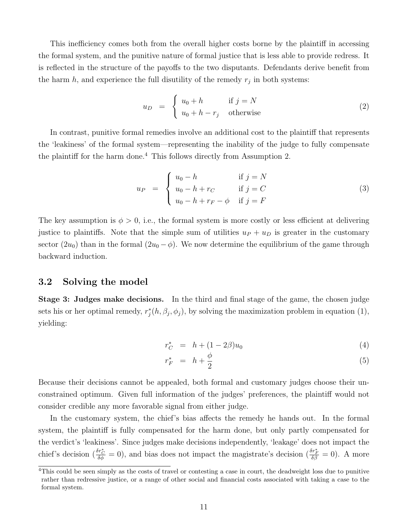This inefficiency comes both from the overall higher costs borne by the plaintiff in accessing the formal system, and the punitive nature of formal justice that is less able to provide redress. It is reflected in the structure of the payoffs to the two disputants. Defendants derive benefit from the harm  $h$ , and experience the full disutility of the remedy  $r_j$  in both systems:

$$
u_D = \begin{cases} u_0 + h & \text{if } j = N \\ u_0 + h - r_j & \text{otherwise} \end{cases}
$$
 (2)

In contrast, punitive formal remedies involve an additional cost to the plaintiff that represents the 'leakiness' of the formal system—representing the inability of the judge to fully compensate the plaintiff for the harm done.<sup>[4](#page-0-0)</sup> This follows directly from Assumption [2.](#page-9-0)

$$
u_P = \begin{cases} u_0 - h & \text{if } j = N \\ u_0 - h + r_C & \text{if } j = C \\ u_0 - h + r_F - \phi & \text{if } j = F \end{cases}
$$
 (3)

The key assumption is  $\phi > 0$ , i.e., the formal system is more costly or less efficient at delivering justice to plaintiffs. Note that the simple sum of utilities  $u_P + u_D$  is greater in the customary sector  $(2u_0)$  than in the formal  $(2u_0 - \phi)$ . We now determine the equilibrium of the game through backward induction.

## 3.2 Solving the model

Stage 3: Judges make decisions. In the third and final stage of the game, the chosen judge sets his or her optimal remedy,  $r_j^*(h, \beta_j, \phi_j)$ , by solving the maximization problem in equation [\(1\)](#page-9-1), yielding:

$$
r_C^* = h + (1 - 2\beta)u_0 \tag{4}
$$

<span id="page-10-0"></span>
$$
r_F^* = h + \frac{\phi}{2} \tag{5}
$$

Because their decisions cannot be appealed, both formal and customary judges choose their unconstrained optimum. Given full information of the judges' preferences, the plaintiff would not consider credible any more favorable signal from either judge.

In the customary system, the chief's bias affects the remedy he hands out. In the formal system, the plaintiff is fully compensated for the harm done, but only partly compensated for the verdict's 'leakiness'. Since judges make decisions independently, 'leakage' does not impact the chief's decision  $(\frac{\delta r_C^*}{\delta \phi} = 0)$ , and bias does not impact the magistrate's decision  $(\frac{\delta r_F^*}{\delta \beta} = 0)$ . A more

<sup>&</sup>lt;sup>4</sup>This could be seen simply as the costs of travel or contesting a case in court, the deadweight loss due to punitive rather than redressive justice, or a range of other social and financial costs associated with taking a case to the formal system.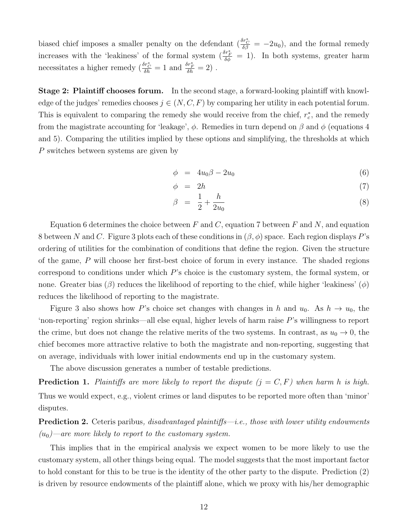biased chief imposes a smaller penalty on the defendant  $(\frac{\delta r_{\rm C}^{*}}{\delta \beta} = -2u_0)$ , and the formal remedy increases with the 'leakiness' of the formal system  $\left(\frac{\delta r_F^*}{\delta \phi} = 1\right)$ . In both systems, greater harm necessitates a higher remedy  $(\frac{\delta r^*_C}{\delta h} = 1$  and  $\frac{\delta r^*_F}{\delta h} = 2)$ .

Stage 2: Plaintiff chooses forum. In the second stage, a forward-looking plaintiff with knowledge of the judges' remedies chooses  $j \in (N, C, F)$  by comparing her utility in each potential forum. This is equivalent to comparing the remedy she would receive from the chief,  $r_c^*$ , and the remedy from the magistrate accounting for 'leakage',  $\phi$ . Remedies in turn depend on  $\beta$  and  $\phi$  (equations [4](#page-10-0) and [5\)](#page-10-0). Comparing the utilities implied by these options and simplifying, the thresholds at which P switches between systems are given by

<span id="page-11-0"></span>
$$
\phi = 4u_0 \beta - 2u_0 \tag{6}
$$

$$
\phi = 2h \tag{7}
$$

$$
\beta = \frac{1}{2} + \frac{h}{2u_0} \tag{8}
$$

Equation [6](#page-11-0) determines the choice between  $F$  and  $C$ , equation [7](#page-11-0) between  $F$  and  $N$ , and equation [8](#page-11-0) between N and C. Figure [3](#page-44-0) plots each of these conditions in  $(\beta, \phi)$  space. Each region displays P's ordering of utilities for the combination of conditions that define the region. Given the structure of the game, P will choose her first-best choice of forum in every instance. The shaded regions correspond to conditions under which P's choice is the customary system, the formal system, or none. Greater bias  $(\beta)$  reduces the likelihood of reporting to the chief, while higher 'leakiness'  $(\phi)$ reduces the likelihood of reporting to the magistrate.

Figure [3](#page-44-0) also shows how P's choice set changes with changes in h and  $u_0$ . As  $h \to u_0$ , the 'non-reporting' region shrinks—all else equal, higher levels of harm raise  $P$ 's willingness to report the crime, but does not change the relative merits of the two systems. In contrast, as  $u_0 \to 0$ , the chief becomes more attractive relative to both the magistrate and non-reporting, suggesting that on average, individuals with lower initial endowments end up in the customary system.

The above discussion generates a number of testable predictions.

<span id="page-11-2"></span>**Prediction 1.** Plaintiffs are more likely to report the dispute  $(j = C, F)$  when harm h is high. Thus we would expect, e.g., violent crimes or land disputes to be reported more often than 'minor' disputes.

<span id="page-11-1"></span>Prediction 2. Ceteris paribus, disadvantaged plaintiffs—i.e., those with lower utility endowments  $(u_0)$ —are more likely to report to the customary system.

This implies that in the empirical analysis we expect women to be more likely to use the customary system, all other things being equal. The model suggests that the most important factor to hold constant for this to be true is the identity of the other party to the dispute. Prediction [\(2\)](#page-11-1) is driven by resource endowments of the plaintiff alone, which we proxy with his/her demographic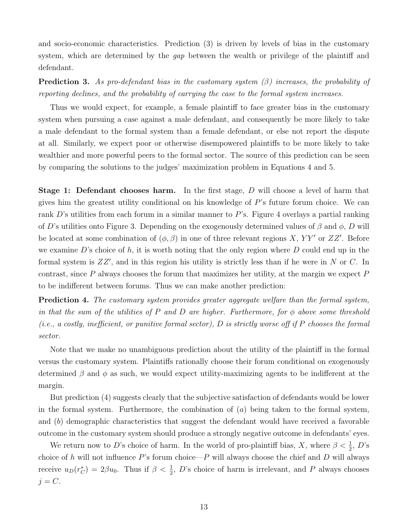and socio-economic characteristics. Prediction [\(3\)](#page-12-0) is driven by levels of bias in the customary system, which are determined by the gap between the wealth or privilege of the plaintiff and defendant.

<span id="page-12-0"></span>**Prediction 3.** As pro-defendant bias in the customary system  $(\beta)$  increases, the probability of reporting declines, and the probability of carrying the case to the formal system increases.

Thus we would expect, for example, a female plaintiff to face greater bias in the customary system when pursuing a case against a male defendant, and consequently be more likely to take a male defendant to the formal system than a female defendant, or else not report the dispute at all. Similarly, we expect poor or otherwise disempowered plaintiffs to be more likely to take wealthier and more powerful peers to the formal sector. The source of this prediction can be seen by comparing the solutions to the judges' maximization problem in Equations [4](#page-10-0) and [5.](#page-10-0)

**Stage 1: Defendant chooses harm.** In the first stage, D will choose a level of harm that gives him the greatest utility conditional on his knowledge of P's future forum choice. We can rank D's utilities from each forum in a similar manner to P's. Figure [4](#page-44-1) overlays a partial ranking of D's utilities onto Figure [3.](#page-44-0) Depending on the exogenously determined values of  $\beta$  and  $\phi$ , D will be located at some combination of  $(\phi, \beta)$  in one of three relevant regions X, YY' or ZZ'. Before we examine  $D$ 's choice of  $h$ , it is worth noting that the only region where  $D$  could end up in the formal system is  $ZZ'$ , and in this region his utility is strictly less than if he were in N or C. In contrast, since  $P$  always chooses the forum that maximizes her utility, at the margin we expect  $P$ to be indifferent between forums. Thus we can make another prediction:

<span id="page-12-1"></span>Prediction 4. The customary system provides greater aggregate welfare than the formal system, in that the sum of the utilities of P and D are higher. Furthermore, for  $\phi$  above some threshold  $(i.e., a costly, inefficient, or primitive formal sector), D is strictly worse off if P chooses the formal$ sector.

Note that we make no unambiguous prediction about the utility of the plaintiff in the formal versus the customary system. Plaintiffs rationally choose their forum conditional on exogenously determined  $\beta$  and  $\phi$  as such, we would expect utility-maximizing agents to be indifferent at the margin.

But prediction [\(4\)](#page-12-1) suggests clearly that the subjective satisfaction of defendants would be lower in the formal system. Furthermore, the combination of  $(a)$  being taken to the formal system, and (b) demographic characteristics that suggest the defendant would have received a favorable outcome in the customary system should produce a strongly negative outcome in defendants' eyes.

We return now to D's choice of harm. In the world of pro-plaintiff bias, X, where  $\beta < \frac{1}{2}$ , D's choice of h will not influence  $P$ 's forum choice— $P$  will always choose the chief and  $D$  will always receive  $u_D(r_C^*) = 2\beta u_0$ . Thus if  $\beta < \frac{1}{2}$ , D's choice of harm is irrelevant, and P always chooses  $j = C$ .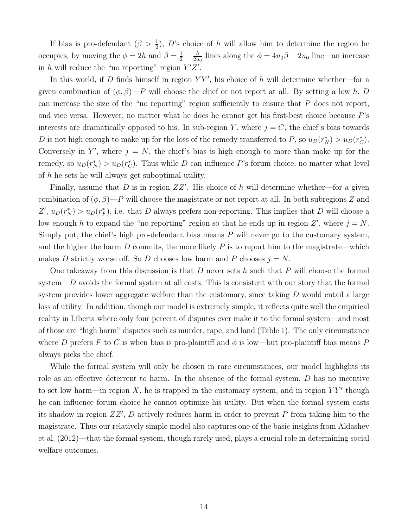If bias is pro-defendant  $(\beta > \frac{1}{2})$ , D's choice of h will allow him to determine the region he occupies, by moving the  $\phi = 2h$  and  $\beta = \frac{1}{2} + \frac{h}{2u}$  $\frac{h}{2u_0}$  lines along the  $\phi = 4u_0\beta - 2u_0$  line—an increase in h will reduce the "no reporting" region  $Y'Z'$ .

In this world, if D finds himself in region  $YY'$ , his choice of h will determine whether—for a given combination of  $(\phi, \beta)$ —P will choose the chief or not report at all. By setting a low h, D can increase the size of the "no reporting" region sufficiently to ensure that  $P$  does not report, and vice versa. However, no matter what he does he cannot get his first-best choice because P's interests are dramatically opposed to his. In sub-region Y, where  $j = C$ , the chief's bias towards D is not high enough to make up for the loss of the remedy transferred to P, so  $u_D(r_N^*) > u_D(r_C^*)$ . Conversely in Y', where  $j = N$ , the chief's bias is high enough to more than make up for the remedy, so  $u_D(r_N^*) > u_D(r_C^*)$ . Thus while D can influence P's forum choice, no matter what level of h he sets he will always get suboptimal utility.

Finally, assume that D is in region  $ZZ'$ . His choice of h will determine whether—for a given combination of  $(\phi, \beta)$ —P will choose the magistrate or not report at all. In both subregions Z and  $Z', u_D(r_N^*) > u_D(r_F^*)$ , i.e. that D always prefers non-reporting. This implies that D will choose a low enough h to expand the "no reporting" region so that he ends up in region  $Z'$ , where  $j = N$ . Simply put, the chief's high pro-defendant bias means  $P$  will never go to the customary system, and the higher the harm  $D$  commits, the more likely  $P$  is to report him to the magistrate—which makes D strictly worse off. So D chooses low harm and P chooses  $j = N$ .

One takeaway from this discussion is that  $D$  never sets  $h$  such that  $P$  will choose the formal system— $D$  avoids the formal system at all costs. This is consistent with our story that the formal system provides lower aggregate welfare than the customary, since taking  $D$  would entail a large loss of utility. In addition, though our model is extremely simple, it reflects quite well the empirical reality in Liberia where only four percent of disputes ever make it to the formal system—and most of those are "high harm" disputes such as murder, rape, and land (Table [1\)](#page-41-0). The only circumstance where D prefers F to C is when bias is pro-plaintiff and  $\phi$  is low—but pro-plaintiff bias means P always picks the chief.

While the formal system will only be chosen in rare circumstances, our model highlights its role as an effective deterrent to harm. In the absence of the formal system, D has no incentive to set low harm—in region  $X$ , he is trapped in the customary system, and in region  $YY'$  though he can influence forum choice he cannot optimize his utility. But when the formal system casts its shadow in region  $ZZ'$ , D actively reduces harm in order to prevent P from taking him to the magistrate. Thus our relatively simple model also captures one of the basic insights from [Aldashev](#page-37-9) [et al.](#page-37-9) [\(2012\)](#page-37-9)—that the formal system, though rarely used, plays a crucial role in determining social welfare outcomes.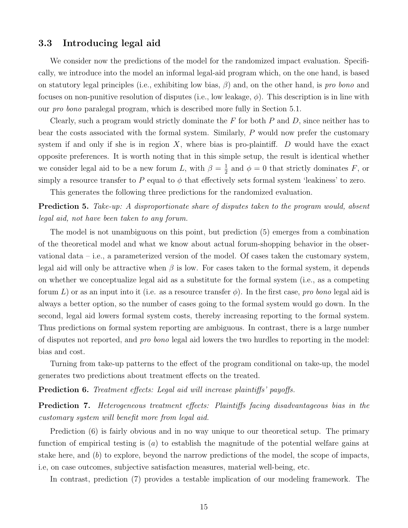## 3.3 Introducing legal aid

We consider now the predictions of the model for the randomized impact evaluation. Specifically, we introduce into the model an informal legal-aid program which, on the one hand, is based on statutory legal principles (i.e., exhibiting low bias,  $\beta$ ) and, on the other hand, is pro bono and focuses on non-punitive resolution of disputes (i.e., low leakage,  $\phi$ ). This description is in line with our pro bono paralegal program, which is described more fully in Section [5.1.](#page-23-1)

Clearly, such a program would strictly dominate the  $F$  for both  $P$  and  $D$ , since neither has to bear the costs associated with the formal system. Similarly, P would now prefer the customary system if and only if she is in region  $X$ , where bias is pro-plaintiff.  $D$  would have the exact opposite preferences. It is worth noting that in this simple setup, the result is identical whether we consider legal aid to be a new forum L, with  $\beta = \frac{1}{2}$  $\frac{1}{2}$  and  $\phi = 0$  that strictly dominates F, or simply a resource transfer to P equal to  $\phi$  that effectively sets formal system 'leakiness' to zero.

This generates the following three predictions for the randomized evaluation.

## <span id="page-14-0"></span>**Prediction 5.** Take-up: A disproportionate share of disputes taken to the program would, absent legal aid, not have been taken to any forum.

The model is not unambiguous on this point, but prediction [\(5\)](#page-14-0) emerges from a combination of the theoretical model and what we know about actual forum-shopping behavior in the observational data  $-$  i.e., a parameterized version of the model. Of cases taken the customary system, legal aid will only be attractive when  $\beta$  is low. For cases taken to the formal system, it depends on whether we conceptualize legal aid as a substitute for the formal system (i.e., as a competing forum L) or as an input into it (i.e. as a resource transfer  $\phi$ ). In the first case, pro bono legal aid is always a better option, so the number of cases going to the formal system would go down. In the second, legal aid lowers formal system costs, thereby increasing reporting to the formal system. Thus predictions on formal system reporting are ambiguous. In contrast, there is a large number of disputes not reported, and pro bono legal aid lowers the two hurdles to reporting in the model: bias and cost.

Turning from take-up patterns to the effect of the program conditional on take-up, the model generates two predictions about treatment effects on the treated.

<span id="page-14-1"></span>Prediction 6. Treatment effects: Legal aid will increase plaintiffs' payoffs.

<span id="page-14-2"></span>Prediction 7. Heterogeneous treatment effects: Plaintiffs facing disadvantageous bias in the customary system will benefit more from legal aid.

Prediction [\(6\)](#page-14-1) is fairly obvious and in no way unique to our theoretical setup. The primary function of empirical testing is  $(a)$  to establish the magnitude of the potential welfare gains at stake here, and (b) to explore, beyond the narrow predictions of the model, the scope of impacts, i.e, on case outcomes, subjective satisfaction measures, material well-being, etc.

In contrast, prediction [\(7\)](#page-14-2) provides a testable implication of our modeling framework. The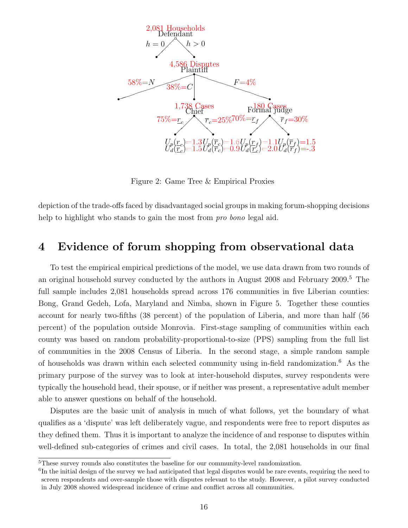<span id="page-15-1"></span>

Figure 2: Game Tree & Empirical Proxies

depiction of the trade-offs faced by disadvantaged social groups in making forum-shopping decisions help to highlight who stands to gain the most from pro bono legal aid.

# <span id="page-15-0"></span>4 Evidence of forum shopping from observational data

To test the empirical empirical predictions of the model, we use data drawn from two rounds of an original household survey conducted by the authors in August 2008 and February 2009.[5](#page-0-0) The full sample includes 2,081 households spread across 176 communities in five Liberian counties: Bong, Grand Gedeh, Lofa, Maryland and Nimba, shown in Figure [5.](#page-45-0) Together these counties account for nearly two-fifths (38 percent) of the population of Liberia, and more than half (56 percent) of the population outside Monrovia. First-stage sampling of communities within each county was based on random probability-proportional-to-size (PPS) sampling from the full list of communities in the 2008 Census of Liberia. In the second stage, a simple random sample of households was drawn within each selected community using in-field randomization.[6](#page-0-0) As the primary purpose of the survey was to look at inter-household disputes, survey respondents were typically the household head, their spouse, or if neither was present, a representative adult member able to answer questions on behalf of the household.

Disputes are the basic unit of analysis in much of what follows, yet the boundary of what qualifies as a 'dispute' was left deliberately vague, and respondents were free to report disputes as they defined them. Thus it is important to analyze the incidence of and response to disputes within well-defined sub-categories of crimes and civil cases. In total, the 2,081 households in our final

<sup>5</sup>These survey rounds also constitutes the baseline for our community-level randomization.

<sup>&</sup>lt;sup>6</sup>In the initial design of the survey we had anticipated that legal disputes would be rare events, requiring the need to screen respondents and over-sample those with disputes relevant to the study. However, a pilot survey conducted in July 2008 showed widespread incidence of crime and conflict across all communities.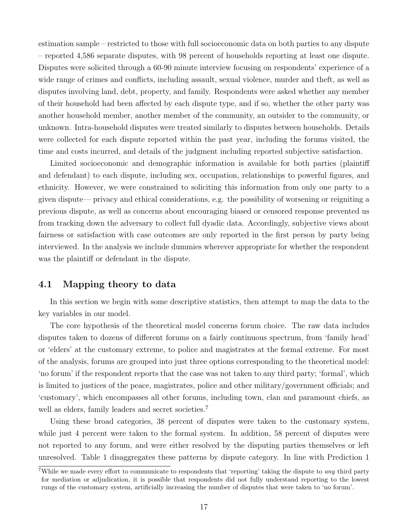estimation sample – restricted to those with full socioeconomic data on both parties to any dispute – reported 4,586 separate disputes, with 98 percent of households reporting at least one dispute. Disputes were solicited through a 60-90 minute interview focusing on respondents' experience of a wide range of crimes and conflicts, including assault, sexual violence, murder and theft, as well as disputes involving land, debt, property, and family. Respondents were asked whether any member of their household had been affected by each dispute type, and if so, whether the other party was another household member, another member of the community, an outsider to the community, or unknown. Intra-household disputes were treated similarly to disputes between households. Details were collected for each dispute reported within the past year, including the forums visited, the time and costs incurred, and details of the judgment including reported subjective satisfaction.

Limited socioeconomic and demographic information is available for both parties (plaintiff and defendant) to each dispute, including sex, occupation, relationships to powerful figures, and ethnicity. However, we were constrained to soliciting this information from only one party to a given dispute— privacy and ethical considerations, e.g. the possibility of worsening or reigniting a previous dispute, as well as concerns about encouraging biased or censored response prevented us from tracking down the adversary to collect full dyadic data. Accordingly, subjective views about fairness or satisfaction with case outcomes are only reported in the first person by party being interviewed. In the analysis we include dummies wherever appropriate for whether the respondent was the plaintiff or defendant in the dispute.

### 4.1 Mapping theory to data

In this section we begin with some descriptive statistics, then attempt to map the data to the key variables in our model.

The core hypothesis of the theoretical model concerns forum choice. The raw data includes disputes taken to dozens of different forums on a fairly continuous spectrum, from 'family head' or 'elders' at the customary extreme, to police and magistrates at the formal extreme. For most of the analysis, forums are grouped into just three options corresponding to the theoretical model: 'no forum' if the respondent reports that the case was not taken to any third party; 'formal', which is limited to justices of the peace, magistrates, police and other military/government officials; and 'customary', which encompasses all other forums, including town, clan and paramount chiefs, as well as elders, family leaders and secret societies.<sup>[7](#page-0-0)</sup>

Using these broad categories, 38 percent of disputes were taken to the customary system, while just 4 percent were taken to the formal system. In addition, 58 percent of disputes were not reported to any forum, and were either resolved by the disputing parties themselves or left unresolved. Table [1](#page-41-0) disaggregates these patterns by dispute category. In line with Prediction [1](#page-11-2)

<sup>&</sup>lt;sup>7</sup>While we made every effort to communicate to respondents that 'reporting' taking the dispute to *any* third party for mediation or adjudication, it is possible that respondents did not fully understand reporting to the lowest rungs of the customary system, artificially increasing the number of disputes that were taken to 'no forum'.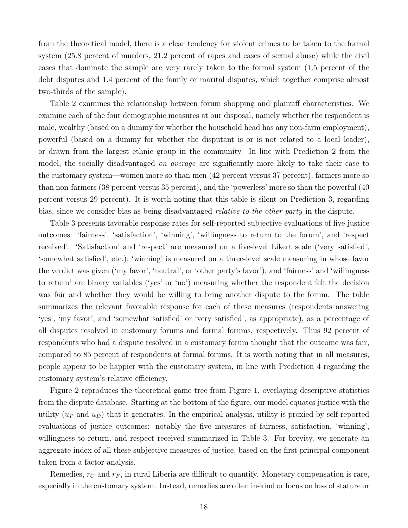from the theoretical model, there is a clear tendency for violent crimes to be taken to the formal system (25.8 percent of murders, 21.2 percent of rapes and cases of sexual abuse) while the civil cases that dominate the sample are very rarely taken to the formal system (1.5 percent of the debt disputes and 1.4 percent of the family or marital disputes, which together comprise almost two-thirds of the sample).

Table [2](#page-42-0) examines the relationship between forum shopping and plaintiff characteristics. We examine each of the four demographic measures at our disposal, namely whether the respondent is male, wealthy (based on a dummy for whether the household head has any non-farm employment), powerful (based on a dummy for whether the disputant is or is not related to a local leader), or drawn from the largest ethnic group in the community. In line with Prediction [2](#page-11-1) from the model, the socially disadvantaged *on average* are significantly more likely to take their case to the customary system—women more so than men (42 percent versus 37 percent), farmers more so than non-farmers (38 percent versus 35 percent), and the 'powerless' more so than the powerful (40 percent versus 29 percent). It is worth noting that this table is silent on Prediction [3,](#page-12-0) regarding bias, since we consider bias as being disadvantaged relative to the other party in the dispute.

Table [3](#page-43-0) presents favorable response rates for self-reported subjective evaluations of five justice outcomes: 'fairness', 'satisfaction', 'winning', 'willingness to return to the forum', and 'respect received'. 'Satisfaction' and 'respect' are measured on a five-level Likert scale ('very satisfied', 'somewhat satisfied', etc.); 'winning' is measured on a three-level scale measuring in whose favor the verdict was given ('my favor', 'neutral', or 'other party's favor'); and 'fairness' and 'willingness to return' are binary variables ('yes' or 'no') measuring whether the respondent felt the decision was fair and whether they would be willing to bring another dispute to the forum. The table summarizes the relevant favorable response for each of these measures (respondents answering 'yes', 'my favor', and 'somewhat satisfied' or 'very satisfied', as appropriate), as a percentage of all disputes resolved in customary forums and formal forums, respectively. Thus 92 percent of respondents who had a dispute resolved in a customary forum thought that the outcome was fair, compared to 85 percent of respondents at formal forums. It is worth noting that in all measures, people appear to be happier with the customary system, in line with Prediction [4](#page-12-1) regarding the customary system's relative efficiency.

Figure [2](#page-15-1) reproduces the theoretical game tree from Figure [1,](#page-7-1) overlaying descriptive statistics from the dispute database. Starting at the bottom of the figure, our model equates justice with the utility  $(u_P \text{ and } u_D)$  that it generates. In the empirical analysis, utility is proxied by self-reported evaluations of justice outcomes: notably the five measures of fairness, satisfaction, 'winning', willingness to return, and respect received summarized in Table [3.](#page-43-0) For brevity, we generate an aggregate index of all these subjective measures of justice, based on the first principal component taken from a factor analysis.

Remedies,  $r_C$  and  $r_F$ , in rural Liberia are difficult to quantify. Monetary compensation is rare, especially in the customary system. Instead, remedies are often in-kind or focus on loss of stature or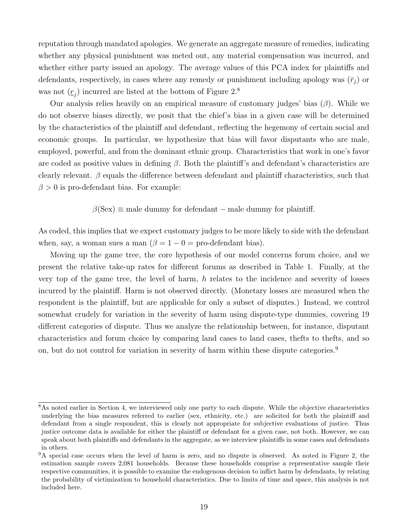reputation through mandated apologies. We generate an aggregate measure of remedies, indicating whether any physical punishment was meted out, any material compensation was incurred, and whether either party issued an apology. The average values of this PCA index for plaintiffs and defendants, respectively, in cases where any remedy or punishment including apology was  $(\bar{r}_i)$  or was not  $(\underline{r}_j)$  incurred are listed at the bottom of Figure [2.](#page-15-1)<sup>[8](#page-0-0)</sup>

Our analysis relies heavily on an empirical measure of customary judges' bias  $(\beta)$ . While we do not observe biases directly, we posit that the chief's bias in a given case will be determined by the characteristics of the plaintiff and defendant, reflecting the hegemony of certain social and economic groups. In particular, we hypothesize that bias will favor disputants who are male, employed, powerful, and from the dominant ethnic group. Characteristics that work in one's favor are coded as positive values in defining  $\beta$ . Both the plaintiff's and defendant's characteristics are clearly relevant.  $\beta$  equals the difference between defendant and plaintiff characteristics, such that  $\beta > 0$  is pro-defendant bias. For example:

 $\beta$ (Sex)  $\equiv$  male dummy for defendant – male dummy for plaintiff.

As coded, this implies that we expect customary judges to be more likely to side with the defendant when, say, a woman sues a man  $(\beta = 1 - 0)$  = pro-defendant bias).

Moving up the game tree, the core hypothesis of our model concerns forum choice, and we present the relative take-up rates for different forums as described in Table [1.](#page-41-0) Finally, at the very top of the game tree, the level of harm,  $h$  relates to the incidence and severity of losses incurred by the plaintiff. Harm is not observed directly. (Monetary losses are measured when the respondent is the plaintiff, but are applicable for only a subset of disputes.) Instead, we control somewhat crudely for variation in the severity of harm using dispute-type dummies, covering 19 different categories of dispute. Thus we analyze the relationship between, for instance, disputant characteristics and forum choice by comparing land cases to land cases, thefts to thefts, and so on, but do not control for variation in severity of harm within these dispute categories.<sup>[9](#page-0-0)</sup>

<sup>&</sup>lt;sup>8</sup>As noted earlier in Section [4,](#page-15-0) we interviewed only one party to each dispute. While the objective characteristics underlying the bias measures referred to earlier (sex, ethnicity, etc.) are solicited for both the plaintiff and defendant from a single respondent, this is clearly not appropriate for subjective evaluations of justice. Thus justice outcome data is available for either the plaintiff or defendant for a given case, not both. However, we can speak about both plaintiffs and defendants in the aggregate, as we interview plaintiffs in some cases and defendants in others.

<sup>&</sup>lt;sup>9</sup>A special case occurs when the level of harm is zero, and no dispute is observed. As noted in Figure [2,](#page-15-1) the estimation sample covers 2,081 households. Because these households comprise a representative sample their respective communities, it is possible to examine the endogenous decision to inflict harm by defendants, by relating the probability of victimization to household characteristics. Due to limits of time and space, this analysis is not included here.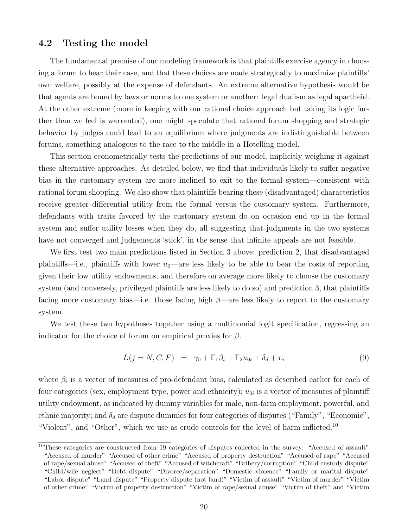#### 4.2 Testing the model

The fundamental premise of our modeling framework is that plaintiffs exercise agency in choosing a forum to hear their case, and that these choices are made strategically to maximize plaintiffs' own welfare, possibly at the expense of defendants. An extreme alternative hypothesis would be that agents are bound by laws or norms to one system or another: legal dualism as legal apartheid. At the other extreme (more in keeping with our rational choice approach but taking its logic further than we feel is warranted), one might speculate that rational forum shopping and strategic behavior by judges could lead to an equilibrium where judgments are indistinguishable between forums, something analogous to the race to the middle in a Hotelling model.

This section econometrically tests the predictions of our model, implicitly weighing it against these alternative approaches. As detailed below, we find that individuals likely to suffer negative bias in the customary system are more inclined to exit to the formal system—consistent with rational forum shopping. We also show that plaintiffs bearing these (disadvantaged) characteristics receive greater differential utility from the formal versus the customary system. Furthermore, defendants with traits favored by the customary system do on occasion end up in the formal system and suffer utility losses when they do, all suggesting that judgments in the two systems have not converged and judgements 'stick', in the sense that infinite appeals are not feasible.

We first test two main predictions listed in Section [3](#page-7-0) above: prediction [2,](#page-11-1) that disadvantaged plaintiffs—i.e., plaintiffs with lower  $u_0$ —are less likely to be able to bear the costs of reporting given their low utility endowments, and therefore on average more likely to choose the customary system (and conversely, privileged plaintiffs are less likely to do so) and prediction [3,](#page-12-0) that plaintiffs facing more customary bias—i.e. those facing high  $\beta$ —are less likely to report to the customary system.

We test these two hypotheses together using a multinomial logit specification, regressing an indicator for the choice of forum on empirical proxies for  $\beta$ .

$$
I_i(j = N, C, F) = \gamma_0 + \Gamma_1 \beta_i + \Gamma_2 u_{0i} + \delta_d + v_i \tag{9}
$$

where  $\beta_i$  is a vector of measures of pro-defendant bias, calculated as described earlier for each of four categories (sex, employment type, power and ethnicity);  $u_{0i}$  is a vector of measures of plaintiff utility endowment, as indicated by dummy variables for male, non-farm employment, powerful, and ethnic majority; and  $\delta_d$  are dispute dummies for four categories of disputes ("Family", "Economic", "Violent", and "Other", which we use as crude controls for the level of harm inflicted.[10](#page-0-0)

 $10$ These categories are constructed from 19 categories of disputes collected in the survey: "Accused of assault" "Accused of murder" "Accused of other crime" "Accused of property destruction" "Accused of rape" "Accused of rape/sexual abuse" "Accused of theft" "Accused of witchcraft" "Bribery/corruption" "Child custody dispute" "Child/wife neglect" "Debt dispute" "Divorce/separation" "Domestic violence" "Family or marital dispute" "Labor dispute" "Land dispute" "Property dispute (not land)" "Victim of assault" "Victim of murder" "Victim of other crime" "Victim of property destruction" "Victim of rape/sexual abuse" "Victim of theft" and "Victim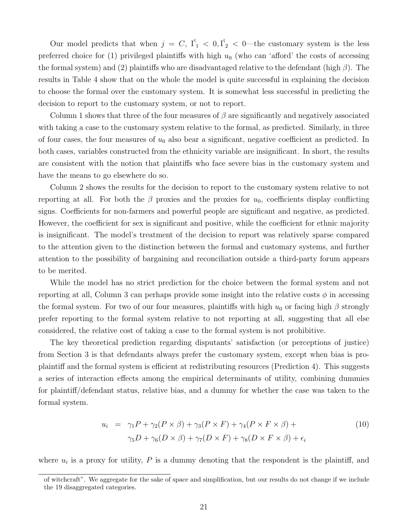Our model predicts that when  $j = C, \hat{\Gamma_1} < 0, \hat{\Gamma_2} < 0$ —the customary system is the less preferred choice for (1) privileged plaintiffs with high  $u_0$  (who can 'afford' the costs of accessing the formal system) and (2) plaintiffs who are disadvantaged relative to the defendant (high  $\beta$ ). The results in Table [4](#page-46-0) show that on the whole the model is quite successful in explaining the decision to choose the formal over the customary system. It is somewhat less successful in predicting the decision to report to the customary system, or not to report.

Column 1 shows that three of the four measures of  $\beta$  are significantly and negatively associated with taking a case to the customary system relative to the formal, as predicted. Similarly, in three of four cases, the four measures of  $u_0$  also bear a significant, negative coefficient as predicted. In both cases, variables constructed from the ethnicity variable are insignificant. In short, the results are consistent with the notion that plaintiffs who face severe bias in the customary system and have the means to go elsewhere do so.

Column 2 shows the results for the decision to report to the customary system relative to not reporting at all. For both the  $\beta$  proxies and the proxies for  $u_0$ , coefficients display conflicting signs. Coefficients for non-farmers and powerful people are significant and negative, as predicted. However, the coefficient for sex is significant and positive, while the coefficient for ethnic majority is insignificant. The model's treatment of the decision to report was relatively sparse compared to the attention given to the distinction between the formal and customary systems, and further attention to the possibility of bargaining and reconciliation outside a third-party forum appears to be merited.

While the model has no strict prediction for the choice between the formal system and not reporting at all, Column 3 can perhaps provide some insight into the relative costs  $\phi$  in accessing the formal system. For two of our four measures, plaintiffs with high  $u_0$  or facing high  $\beta$  strongly prefer reporting to the formal system relative to not reporting at all, suggesting that all else considered, the relative cost of taking a case to the formal system is not prohibitive.

The key theoretical prediction regarding disputants' satisfaction (or perceptions of justice) from Section [3](#page-7-0) is that defendants always prefer the customary system, except when bias is proplaintiff and the formal system is efficient at redistributing resources (Prediction [4\)](#page-12-1). This suggests a series of interaction effects among the empirical determinants of utility, combining dummies for plaintiff/defendant status, relative bias, and a dummy for whether the case was taken to the formal system.

$$
u_i = \gamma_1 P + \gamma_2 (P \times \beta) + \gamma_3 (P \times F) + \gamma_4 (P \times F \times \beta) +
$$
  

$$
\gamma_5 D + \gamma_6 (D \times \beta) + \gamma_7 (D \times F) + \gamma_8 (D \times F \times \beta) + \epsilon_i
$$
 (10)

where  $u_i$  is a proxy for utility,  $P$  is a dummy denoting that the respondent is the plaintiff, and

of witchcraft". We aggregate for the sake of space and simplification, but our results do not change if we include the 19 disaggregated categories.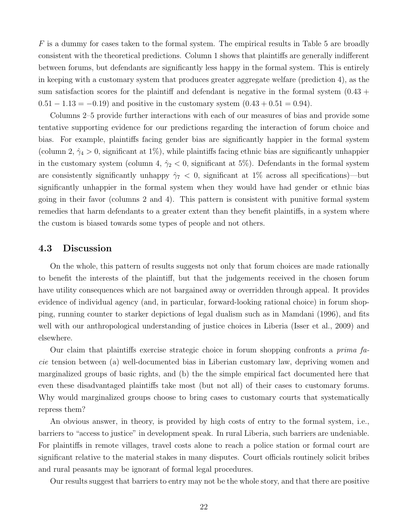$F$  is a dummy for cases taken to the formal system. The empirical results in Table [5](#page-47-0) are broadly consistent with the theoretical predictions. Column 1 shows that plaintiffs are generally indifferent between forums, but defendants are significantly less happy in the formal system. This is entirely in keeping with a customary system that produces greater aggregate welfare (prediction 4), as the sum satisfaction scores for the plaintiff and defendant is negative in the formal system  $(0.43 +$  $0.51 - 1.13 = -0.19$  and positive in the customary system  $(0.43 + 0.51 = 0.94)$ .

Columns 2–5 provide further interactions with each of our measures of bias and provide some tentative supporting evidence for our predictions regarding the interaction of forum choice and bias. For example, plaintiffs facing gender bias are significantly happier in the formal system (column 2,  $\hat{\gamma}_4 > 0$ , significant at 1%), while plaintiffs facing ethnic bias are significantly unhappier in the customary system (column 4,  $\hat{\gamma}_2$  < 0, significant at 5%). Defendants in the formal system are consistently significantly unhappy  $\hat{\gamma}_7 < 0$ , significant at 1% across all specifications)—but significantly unhappier in the formal system when they would have had gender or ethnic bias going in their favor (columns 2 and 4). This pattern is consistent with punitive formal system remedies that harm defendants to a greater extent than they benefit plaintiffs, in a system where the custom is biased towards some types of people and not others.

#### 4.3 Discussion

On the whole, this pattern of results suggests not only that forum choices are made rationally to benefit the interests of the plaintiff, but that the judgements received in the chosen forum have utility consequences which are not bargained away or overridden through appeal. It provides evidence of individual agency (and, in particular, forward-looking rational choice) in forum shopping, running counter to starker depictions of legal dualism such as in [Mamdani](#page-39-11) [\(1996\)](#page-39-11), and fits well with our anthropological understanding of justice choices in Liberia [\(Isser et al.,](#page-38-8) [2009\)](#page-38-8) and elsewhere.

Our claim that plaintiffs exercise strategic choice in forum shopping confronts a *prima fa*cie tension between (a) well-documented bias in Liberian customary law, depriving women and marginalized groups of basic rights, and (b) the the simple empirical fact documented here that even these disadvantaged plaintiffs take most (but not all) of their cases to customary forums. Why would marginalized groups choose to bring cases to customary courts that systematically repress them?

An obvious answer, in theory, is provided by high costs of entry to the formal system, i.e., barriers to "access to justice" in development speak. In rural Liberia, such barriers are undeniable. For plaintiffs in remote villages, travel costs alone to reach a police station or formal court are significant relative to the material stakes in many disputes. Court officials routinely solicit bribes and rural peasants may be ignorant of formal legal procedures.

Our results suggest that barriers to entry may not be the whole story, and that there are positive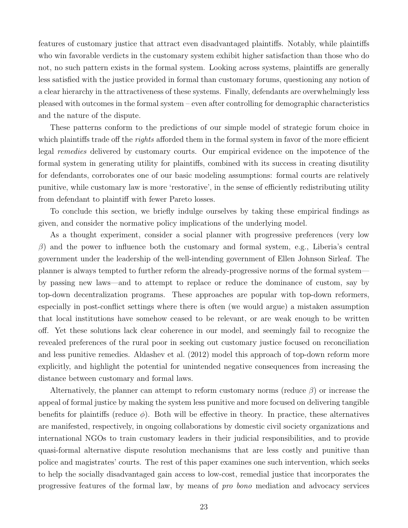features of customary justice that attract even disadvantaged plaintiffs. Notably, while plaintiffs who win favorable verdicts in the customary system exhibit higher satisfaction than those who do not, no such pattern exists in the formal system. Looking across systems, plaintiffs are generally less satisfied with the justice provided in formal than customary forums, questioning any notion of a clear hierarchy in the attractiveness of these systems. Finally, defendants are overwhelmingly less pleased with outcomes in the formal system – even after controlling for demographic characteristics and the nature of the dispute.

These patterns conform to the predictions of our simple model of strategic forum choice in which plaintiffs trade off the *rights* afforded them in the formal system in favor of the more efficient legal remedies delivered by customary courts. Our empirical evidence on the impotence of the formal system in generating utility for plaintiffs, combined with its success in creating disutility for defendants, corroborates one of our basic modeling assumptions: formal courts are relatively punitive, while customary law is more 'restorative', in the sense of efficiently redistributing utility from defendant to plaintiff with fewer Pareto losses.

To conclude this section, we briefly indulge ourselves by taking these empirical findings as given, and consider the normative policy implications of the underlying model.

As a thought experiment, consider a social planner with progressive preferences (very low  $β$ ) and the power to influence both the customary and formal system, e.g., Liberia's central government under the leadership of the well-intending government of Ellen Johnson Sirleaf. The planner is always tempted to further reform the already-progressive norms of the formal system by passing new laws—and to attempt to replace or reduce the dominance of custom, say by top-down decentralization programs. These approaches are popular with top-down reformers, especially in post-conflict settings where there is often (we would argue) a mistaken assumption that local institutions have somehow ceased to be relevant, or are weak enough to be written off. Yet these solutions lack clear coherence in our model, and seemingly fail to recognize the revealed preferences of the rural poor in seeking out customary justice focused on reconciliation and less punitive remedies. [Aldashev et al.](#page-37-9) [\(2012\)](#page-37-9) model this approach of top-down reform more explicitly, and highlight the potential for unintended negative consequences from increasing the distance between customary and formal laws.

Alternatively, the planner can attempt to reform customary norms (reduce  $\beta$ ) or increase the appeal of formal justice by making the system less punitive and more focused on delivering tangible benefits for plaintiffs (reduce  $\phi$ ). Both will be effective in theory. In practice, these alternatives are manifested, respectively, in ongoing collaborations by domestic civil society organizations and international NGOs to train customary leaders in their judicial responsibilities, and to provide quasi-formal alternative dispute resolution mechanisms that are less costly and punitive than police and magistrates' courts. The rest of this paper examines one such intervention, which seeks to help the socially disadvantaged gain access to low-cost, remedial justice that incorporates the progressive features of the formal law, by means of pro bono mediation and advocacy services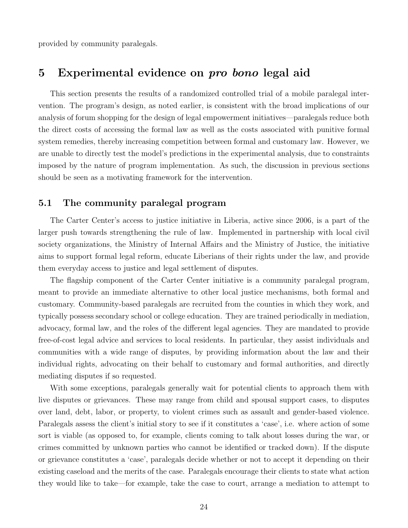provided by community paralegals.

## <span id="page-23-0"></span>5 Experimental evidence on pro bono legal aid

This section presents the results of a randomized controlled trial of a mobile paralegal intervention. The program's design, as noted earlier, is consistent with the broad implications of our analysis of forum shopping for the design of legal empowerment initiatives—paralegals reduce both the direct costs of accessing the formal law as well as the costs associated with punitive formal system remedies, thereby increasing competition between formal and customary law. However, we are unable to directly test the model's predictions in the experimental analysis, due to constraints imposed by the nature of program implementation. As such, the discussion in previous sections should be seen as a motivating framework for the intervention.

## <span id="page-23-1"></span>5.1 The community paralegal program

The Carter Center's access to justice initiative in Liberia, active since 2006, is a part of the larger push towards strengthening the rule of law. Implemented in partnership with local civil society organizations, the Ministry of Internal Affairs and the Ministry of Justice, the initiative aims to support formal legal reform, educate Liberians of their rights under the law, and provide them everyday access to justice and legal settlement of disputes.

The flagship component of the Carter Center initiative is a community paralegal program, meant to provide an immediate alternative to other local justice mechanisms, both formal and customary. Community-based paralegals are recruited from the counties in which they work, and typically possess secondary school or college education. They are trained periodically in mediation, advocacy, formal law, and the roles of the different legal agencies. They are mandated to provide free-of-cost legal advice and services to local residents. In particular, they assist individuals and communities with a wide range of disputes, by providing information about the law and their individual rights, advocating on their behalf to customary and formal authorities, and directly mediating disputes if so requested.

With some exceptions, paralegals generally wait for potential clients to approach them with live disputes or grievances. These may range from child and spousal support cases, to disputes over land, debt, labor, or property, to violent crimes such as assault and gender-based violence. Paralegals assess the client's initial story to see if it constitutes a 'case', i.e. where action of some sort is viable (as opposed to, for example, clients coming to talk about losses during the war, or crimes committed by unknown parties who cannot be identified or tracked down). If the dispute or grievance constitutes a 'case', paralegals decide whether or not to accept it depending on their existing caseload and the merits of the case. Paralegals encourage their clients to state what action they would like to take—for example, take the case to court, arrange a mediation to attempt to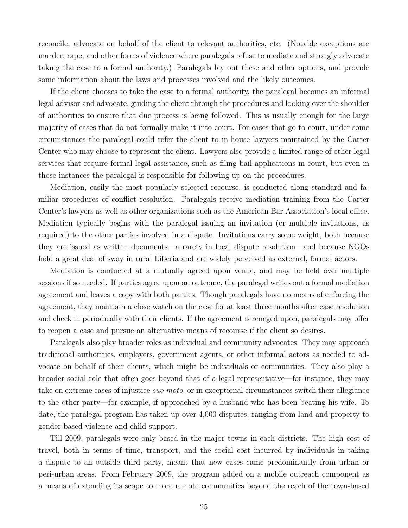reconcile, advocate on behalf of the client to relevant authorities, etc. (Notable exceptions are murder, rape, and other forms of violence where paralegals refuse to mediate and strongly advocate taking the case to a formal authority.) Paralegals lay out these and other options, and provide some information about the laws and processes involved and the likely outcomes.

If the client chooses to take the case to a formal authority, the paralegal becomes an informal legal advisor and advocate, guiding the client through the procedures and looking over the shoulder of authorities to ensure that due process is being followed. This is usually enough for the large majority of cases that do not formally make it into court. For cases that go to court, under some circumstances the paralegal could refer the client to in-house lawyers maintained by the Carter Center who may choose to represent the client. Lawyers also provide a limited range of other legal services that require formal legal assistance, such as filing bail applications in court, but even in those instances the paralegal is responsible for following up on the procedures.

Mediation, easily the most popularly selected recourse, is conducted along standard and familiar procedures of conflict resolution. Paralegals receive mediation training from the Carter Center's lawyers as well as other organizations such as the American Bar Association's local office. Mediation typically begins with the paralegal issuing an invitation (or multiple invitations, as required) to the other parties involved in a dispute. Invitations carry some weight, both because they are issued as written documents—a rarety in local dispute resolution—and because NGOs hold a great deal of sway in rural Liberia and are widely perceived as external, formal actors.

Mediation is conducted at a mutually agreed upon venue, and may be held over multiple sessions if so needed. If parties agree upon an outcome, the paralegal writes out a formal mediation agreement and leaves a copy with both parties. Though paralegals have no means of enforcing the agreement, they maintain a close watch on the case for at least three months after case resolution and check in periodically with their clients. If the agreement is reneged upon, paralegals may offer to reopen a case and pursue an alternative means of recourse if the client so desires.

Paralegals also play broader roles as individual and community advocates. They may approach traditional authorities, employers, government agents, or other informal actors as needed to advocate on behalf of their clients, which might be individuals or communities. They also play a broader social role that often goes beyond that of a legal representative—for instance, they may take on extreme cases of injustice suo moto, or in exceptional circumstances switch their allegiance to the other party—for example, if approached by a husband who has been beating his wife. To date, the paralegal program has taken up over 4,000 disputes, ranging from land and property to gender-based violence and child support.

Till 2009, paralegals were only based in the major towns in each districts. The high cost of travel, both in terms of time, transport, and the social cost incurred by individuals in taking a dispute to an outside third party, meant that new cases came predominantly from urban or peri-urban areas. From February 2009, the program added on a mobile outreach component as a means of extending its scope to more remote communities beyond the reach of the town-based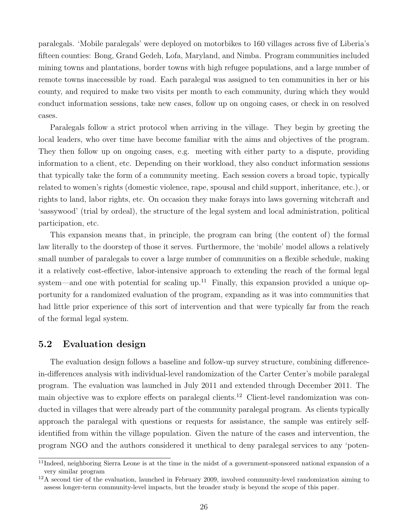paralegals. 'Mobile paralegals' were deployed on motorbikes to 160 villages across five of Liberia's fifteen counties: Bong, Grand Gedeh, Lofa, Maryland, and Nimba. Program communities included mining towns and plantations, border towns with high refugee populations, and a large number of remote towns inaccessible by road. Each paralegal was assigned to ten communities in her or his county, and required to make two visits per month to each community, during which they would conduct information sessions, take new cases, follow up on ongoing cases, or check in on resolved cases.

Paralegals follow a strict protocol when arriving in the village. They begin by greeting the local leaders, who over time have become familiar with the aims and objectives of the program. They then follow up on ongoing cases, e.g. meeting with either party to a dispute, providing information to a client, etc. Depending on their workload, they also conduct information sessions that typically take the form of a community meeting. Each session covers a broad topic, typically related to women's rights (domestic violence, rape, spousal and child support, inheritance, etc.), or rights to land, labor rights, etc. On occasion they make forays into laws governing witchcraft and 'sassywood' (trial by ordeal), the structure of the legal system and local administration, political participation, etc.

This expansion means that, in principle, the program can bring (the content of) the formal law literally to the doorstep of those it serves. Furthermore, the 'mobile' model allows a relatively small number of paralegals to cover a large number of communities on a flexible schedule, making it a relatively cost-effective, labor-intensive approach to extending the reach of the formal legal system—and one with potential for scaling up.<sup>[11](#page-0-0)</sup> Finally, this expansion provided a unique opportunity for a randomized evaluation of the program, expanding as it was into communities that had little prior experience of this sort of intervention and that were typically far from the reach of the formal legal system.

## 5.2 Evaluation design

The evaluation design follows a baseline and follow-up survey structure, combining differencein-differences analysis with individual-level randomization of the Carter Center's mobile paralegal program. The evaluation was launched in July 2011 and extended through December 2011. The main objective was to explore effects on paralegal clients.<sup>[12](#page-0-0)</sup> Client-level randomization was conducted in villages that were already part of the community paralegal program. As clients typically approach the paralegal with questions or requests for assistance, the sample was entirely selfidentified from within the village population. Given the nature of the cases and intervention, the program NGO and the authors considered it unethical to deny paralegal services to any 'poten-

 $11$ Indeed, neighboring Sierra Leone is at the time in the midst of a government-sponsored national expansion of a very similar program

<sup>&</sup>lt;sup>12</sup>A second tier of the evaluation, launched in February 2009, involved community-level randomization aiming to assess longer-term community-level impacts, but the broader study is beyond the scope of this paper.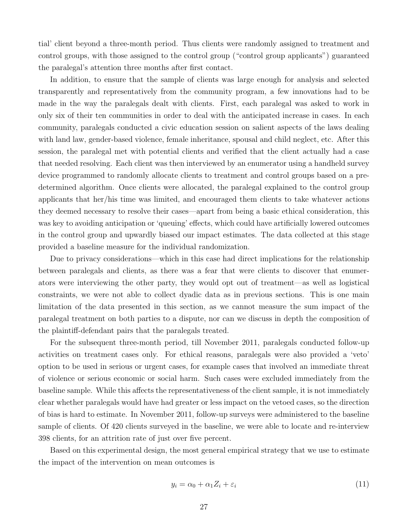tial' client beyond a three-month period. Thus clients were randomly assigned to treatment and control groups, with those assigned to the control group ("control group applicants") guaranteed the paralegal's attention three months after first contact.

In addition, to ensure that the sample of clients was large enough for analysis and selected transparently and representatively from the community program, a few innovations had to be made in the way the paralegals dealt with clients. First, each paralegal was asked to work in only six of their ten communities in order to deal with the anticipated increase in cases. In each community, paralegals conducted a civic education session on salient aspects of the laws dealing with land law, gender-based violence, female inheritance, spousal and child neglect, etc. After this session, the paralegal met with potential clients and verified that the client actually had a case that needed resolving. Each client was then interviewed by an enumerator using a handheld survey device programmed to randomly allocate clients to treatment and control groups based on a predetermined algorithm. Once clients were allocated, the paralegal explained to the control group applicants that her/his time was limited, and encouraged them clients to take whatever actions they deemed necessary to resolve their cases—apart from being a basic ethical consideration, this was key to avoiding anticipation or 'queuing' effects, which could have artificially lowered outcomes in the control group and upwardly biased our impact estimates. The data collected at this stage provided a baseline measure for the individual randomization.

Due to privacy considerations—which in this case had direct implications for the relationship between paralegals and clients, as there was a fear that were clients to discover that enumerators were interviewing the other party, they would opt out of treatment—as well as logistical constraints, we were not able to collect dyadic data as in previous sections. This is one main limitation of the data presented in this section, as we cannot measure the sum impact of the paralegal treatment on both parties to a dispute, nor can we discuss in depth the composition of the plaintiff-defendant pairs that the paralegals treated.

For the subsequent three-month period, till November 2011, paralegals conducted follow-up activities on treatment cases only. For ethical reasons, paralegals were also provided a 'veto' option to be used in serious or urgent cases, for example cases that involved an immediate threat of violence or serious economic or social harm. Such cases were excluded immediately from the baseline sample. While this affects the representativeness of the client sample, it is not immediately clear whether paralegals would have had greater or less impact on the vetoed cases, so the direction of bias is hard to estimate. In November 2011, follow-up surveys were administered to the baseline sample of clients. Of 420 clients surveyed in the baseline, we were able to locate and re-interview 398 clients, for an attrition rate of just over five percent.

Based on this experimental design, the most general empirical strategy that we use to estimate the impact of the intervention on mean outcomes is

<span id="page-26-0"></span>
$$
y_i = \alpha_0 + \alpha_1 Z_i + \varepsilon_i \tag{11}
$$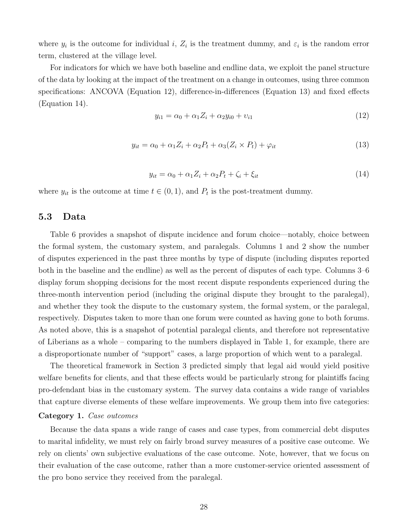where  $y_i$  is the outcome for individual i,  $Z_i$  is the treatment dummy, and  $\varepsilon_i$  is the random error term, clustered at the village level.

For indicators for which we have both baseline and endline data, we exploit the panel structure of the data by looking at the impact of the treatment on a change in outcomes, using three common specifications: ANCOVA (Equation [12\)](#page-27-0), difference-in-differences (Equation [13\)](#page-27-1) and fixed effects (Equation [14\)](#page-27-2).

<span id="page-27-0"></span>
$$
y_{i1} = \alpha_0 + \alpha_1 Z_i + \alpha_2 y_{i0} + \nu_{i1} \tag{12}
$$

<span id="page-27-1"></span>
$$
y_{it} = \alpha_0 + \alpha_1 Z_i + \alpha_2 P_t + \alpha_3 (Z_i \times P_t) + \varphi_{it}
$$
\n
$$
\tag{13}
$$

<span id="page-27-2"></span>
$$
y_{it} = \alpha_0 + \alpha_1 Z_i + \alpha_2 P_t + \zeta_i + \xi_{it}
$$
\n
$$
\tag{14}
$$

where  $y_{it}$  is the outcome at time  $t \in (0,1)$ , and  $P_t$  is the post-treatment dummy.

#### 5.3 Data

Table [6](#page-48-0) provides a snapshot of dispute incidence and forum choice—notably, choice between the formal system, the customary system, and paralegals. Columns 1 and 2 show the number of disputes experienced in the past three months by type of dispute (including disputes reported both in the baseline and the endline) as well as the percent of disputes of each type. Columns 3–6 display forum shopping decisions for the most recent dispute respondents experienced during the three-month intervention period (including the original dispute they brought to the paralegal), and whether they took the dispute to the customary system, the formal system, or the paralegal, respectively. Disputes taken to more than one forum were counted as having gone to both forums. As noted above, this is a snapshot of potential paralegal clients, and therefore not representative of Liberians as a whole – comparing to the numbers displayed in Table [1,](#page-41-0) for example, there are a disproportionate number of "support" cases, a large proportion of which went to a paralegal.

The theoretical framework in Section [3](#page-7-0) predicted simply that legal aid would yield positive welfare benefits for clients, and that these effects would be particularly strong for plaintiffs facing pro-defendant bias in the customary system. The survey data contains a wide range of variables that capture diverse elements of these welfare improvements. We group them into five categories:

#### Category 1. Case outcomes

Because the data spans a wide range of cases and case types, from commercial debt disputes to marital infidelity, we must rely on fairly broad survey measures of a positive case outcome. We rely on clients' own subjective evaluations of the case outcome. Note, however, that we focus on their evaluation of the case outcome, rather than a more customer-service oriented assessment of the pro bono service they received from the paralegal.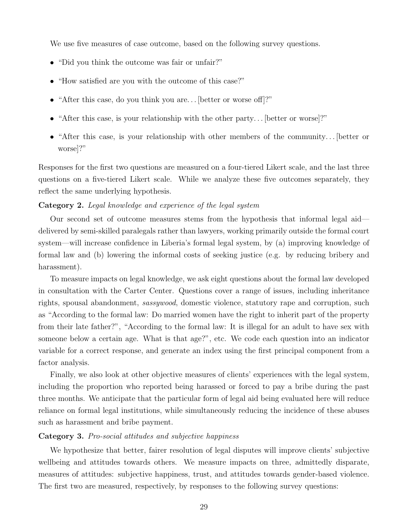We use five measures of case outcome, based on the following survey questions.

- "Did you think the outcome was fair or unfair?"
- "How satisfied are you with the outcome of this case?"
- "After this case, do you think you are... [better or worse off]?"
- "After this case, is your relationship with the other party... [better or worse]?"
- "After this case, is your relationship with other members of the community... [better or worse]?"

Responses for the first two questions are measured on a four-tiered Likert scale, and the last three questions on a five-tiered Likert scale. While we analyze these five outcomes separately, they reflect the same underlying hypothesis.

#### Category 2. Legal knowledge and experience of the legal system

Our second set of outcome measures stems from the hypothesis that informal legal aid delivered by semi-skilled paralegals rather than lawyers, working primarily outside the formal court system—will increase confidence in Liberia's formal legal system, by (a) improving knowledge of formal law and (b) lowering the informal costs of seeking justice (e.g. by reducing bribery and harassment).

To measure impacts on legal knowledge, we ask eight questions about the formal law developed in consultation with the Carter Center. Questions cover a range of issues, including inheritance rights, spousal abandonment, sassywood, domestic violence, statutory rape and corruption, such as "According to the formal law: Do married women have the right to inherit part of the property from their late father?", "According to the formal law: It is illegal for an adult to have sex with someone below a certain age. What is that age?", etc. We code each question into an indicator variable for a correct response, and generate an index using the first principal component from a factor analysis.

Finally, we also look at other objective measures of clients' experiences with the legal system, including the proportion who reported being harassed or forced to pay a bribe during the past three months. We anticipate that the particular form of legal aid being evaluated here will reduce reliance on formal legal institutions, while simultaneously reducing the incidence of these abuses such as harassment and bribe payment.

#### Category 3. Pro-social attitudes and subjective happiness

We hypothesize that better, fairer resolution of legal disputes will improve clients' subjective wellbeing and attitudes towards others. We measure impacts on three, admittedly disparate, measures of attitudes: subjective happiness, trust, and attitudes towards gender-based violence. The first two are measured, respectively, by responses to the following survey questions: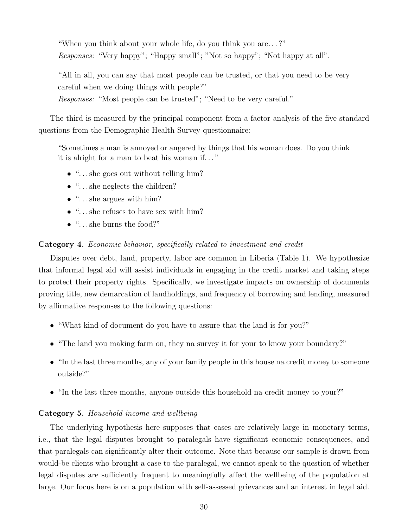"When you think about your whole life, do you think you are. . . ?" Responses: "Very happy"; "Happy small"; "Not so happy"; "Not happy at all".

"All in all, you can say that most people can be trusted, or that you need to be very careful when we doing things with people?"

Responses: "Most people can be trusted"; "Need to be very careful."

The third is measured by the principal component from a factor analysis of the five standard questions from the Demographic Health Survey questionnaire:

"Sometimes a man is annoyed or angered by things that his woman does. Do you think it is alright for a man to beat his woman if. . . "

- "... she goes out without telling him?
- "... she neglects the children?
- $\bullet$  "... she argues with him?
- $\bullet$  "... she refuses to have sex with him?
- $\bullet$  "... she burns the food?"

#### Category 4. Economic behavior, specifically related to investment and credit

Disputes over debt, land, property, labor are common in Liberia (Table [1\)](#page-41-0). We hypothesize that informal legal aid will assist individuals in engaging in the credit market and taking steps to protect their property rights. Specifically, we investigate impacts on ownership of documents proving title, new demarcation of landholdings, and frequency of borrowing and lending, measured by affirmative responses to the following questions:

- "What kind of document do you have to assure that the land is for you?"
- "The land you making farm on, they na survey it for your to know your boundary?"
- "In the last three months, any of your family people in this house na credit money to someone outside?"
- "In the last three months, anyone outside this household na credit money to your?"

#### Category 5. Household income and wellbeing

The underlying hypothesis here supposes that cases are relatively large in monetary terms, i.e., that the legal disputes brought to paralegals have significant economic consequences, and that paralegals can significantly alter their outcome. Note that because our sample is drawn from would-be clients who brought a case to the paralegal, we cannot speak to the question of whether legal disputes are sufficiently frequent to meaningfully affect the wellbeing of the population at large. Our focus here is on a population with self-assessed grievances and an interest in legal aid.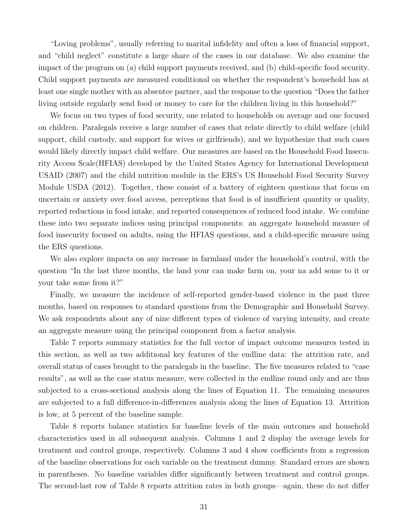"Loving problems", usually referring to marital infidelity and often a loss of financial support, and "child neglect" constitute a large share of the cases in our database. We also examine the impact of the program on (a) child support payments received, and (b) child-specific food security. Child support payments are measured conditional on whether the respondent's household has at least one single mother with an absentee partner, and the response to the question "Does the father living outside regularly send food or money to care for the children living in this household?"

We focus on two types of food security, one related to households on average and one focused on children. Paralegals receive a large number of cases that relate directly to child welfare (child support, child custody, and support for wives or girlfriends), and we hypothesize that such cases would likely directly impact child welfare. Our measures are based on the Household Food Insecurity Access Scale(HFIAS) developed by the United States Agency for International Development [USAID](#page-40-3) [\(2007\)](#page-40-3) and the child nutrition module in the ERS's US Household Food Security Survey Module [USDA](#page-40-4) [\(2012\)](#page-40-4). Together, these consist of a battery of eighteen questions that focus on uncertain or anxiety over food access, perceptions that food is of insufficient quantity or quality, reported reductions in food intake, and reported consequences of reduced food intake. We combine these into two separate indices using principal components: an aggregate household measure of food insecurity focused on adults, using the HFIAS questions, and a child-specific measure using the ERS questions.

We also explore impacts on any increase in farmland under the household's control, with the question "In the last three months, the land your can make farm on, your na add some to it or your take some from it?"

Finally, we measure the incidence of self-reported gender-based violence in the past three months, based on responses to standard questions from the Demographic and Household Survey. We ask respondents about any of nine different types of violence of varying intensity, and create an aggregate measure using the principal component from a factor analysis.

Table [7](#page-49-0) reports summary statistics for the full vector of impact outcome measures tested in this section, as well as two additional key features of the endline data: the attrition rate, and overall status of cases brought to the paralegals in the baseline. The five measures related to "case results", as well as the case status measure, were collected in the endline round only and are thus subjected to a cross-sectional analysis along the lines of Equation [11.](#page-26-0) The remaining measures are subjected to a full difference-in-differences analysis along the lines of Equation [13.](#page-27-1) Attrition is low, at 5 percent of the baseline sample.

Table [8](#page-50-0) reports balance statistics for baseline levels of the main outcomes and household characteristics used in all subsequent analysis. Columns 1 and 2 display the average levels for treatment and control groups, respectively. Columns 3 and 4 show coefficients from a regression of the baseline observations for each variable on the treatment dummy. Standard errors are shown in parentheses. No baseline variables differ significantly between treatment and control groups. The second-last row of Table [8](#page-50-0) reports attrition rates in both groups—again, these do not differ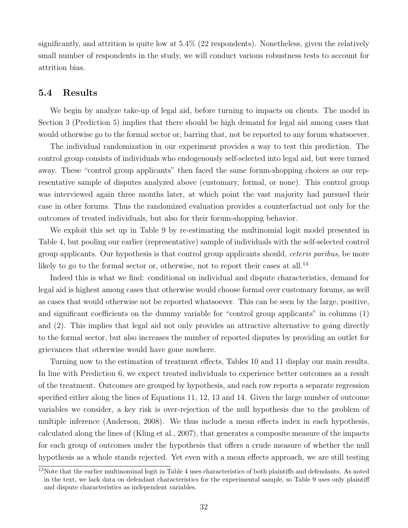significantly, and attrition is quite low at 5.4% (22 respondents). Nonetheless, given the relatively small number of respondents in the study, we will conduct various robustness tests to account for attrition bias.

### 5.4 Results

We begin by analyze take-up of legal aid, before turning to impacts on clients. The model in Section [3](#page-7-0) (Prediction [5\)](#page-14-0) implies that there should be high demand for legal aid among cases that would otherwise go to the formal sector or, barring that, not be reported to any forum whatsoever.

The individual randomization in our experiment provides a way to test this prediction. The control group consists of individuals who endogenously self-selected into legal aid, but were turned away. These "control group applicants" then faced the same forum-shopping choices as our representative sample of disputes analyzed above (customary, formal, or none). This control group was interviewed again three months later, at which point the vast majority had pursued their case in other forums. Thus the randomized evaluation provides a counterfactual not only for the outcomes of treated individuals, but also for their forum-shopping behavior.

We exploit this set up in Table [9](#page-51-0) by re-estimating the multinomial logit model presented in Table [4,](#page-46-0) but pooling our earlier (representative) sample of individuals with the self-selected control group applicants. Our hypothesis is that control group applicants should, *ceteris paribus*, be more likely to go to the formal sector or, otherwise, not to report their cases at all.<sup>[13](#page-0-0)</sup>

Indeed this is what we find: conditional on individual and dispute characteristics, demand for legal aid is highest among cases that otherwise would choose formal over customary forums, as well as cases that would otherwise not be reported whatsoever. This can be seen by the large, positive, and significant coefficients on the dummy variable for "control group applicants" in columns (1) and (2). This implies that legal aid not only provides an attractive alternative to going directly to the formal sector, but also increases the number of reported disputes by providing an outlet for grievances that otherwise would have gone nowhere.

Turning now to the estimation of treatment effects, Tables [10](#page-53-0) and [11](#page-54-0) display our main results. In line with Prediction [6,](#page-14-1) we expect treated individuals to experience better outcomes as a result of the treatment. Outcomes are grouped by hypothesis, and each row reports a separate regression specified either along the lines of Equations [11,](#page-26-0) [12,](#page-27-0) [13](#page-27-1) and [14.](#page-27-2) Given the large number of outcome variables we consider, a key risk is over-rejection of the null hypothesis due to the problem of multiple inference [\(Anderson,](#page-37-13) [2008\)](#page-37-13). We thus include a mean effects index in each hypothesis, calculated along the lines of [\(Kling et al.,](#page-39-12) [2007\)](#page-39-12), that generates a composite measure of the impacts for each group of outcomes under the hypothesis that offers a crude measure of whether the null hypothesis as a whole stands rejected. Yet even with a mean effects approach, we are still testing

 $13$ Note that the earlier multinominal logit in Table [4](#page-46-0) uses characteristics of both plaintiffs and defendants. As noted in the text, we lack data on defendant characteristics for the experimental sample, so Table [9](#page-51-0) uses only plaintiff and dispute characteristics as independent variables.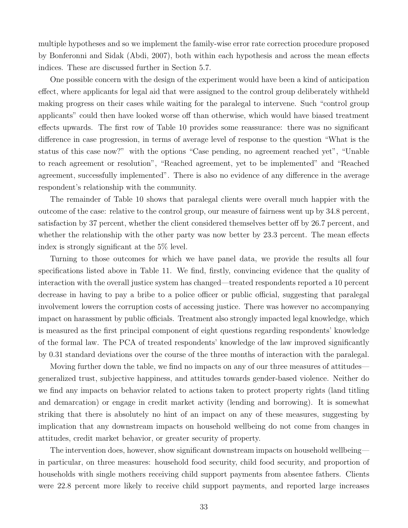multiple hypotheses and so we implement the family-wise error rate correction procedure proposed by Bonferonni and Sidak [\(Abdi,](#page-36-1) [2007\)](#page-36-1), both within each hypothesis and across the mean effects indices. These are discussed further in Section [5.7.](#page-35-0)

One possible concern with the design of the experiment would have been a kind of anticipation effect, where applicants for legal aid that were assigned to the control group deliberately withheld making progress on their cases while waiting for the paralegal to intervene. Such "control group applicants" could then have looked worse off than otherwise, which would have biased treatment effects upwards. The first row of Table [10](#page-53-0) provides some reassurance: there was no significant difference in case progression, in terms of average level of response to the question "What is the status of this case now?" with the options "Case pending, no agreement reached yet", "Unable to reach agreement or resolution", "Reached agreement, yet to be implemented" and "Reached agreement, successfully implemented". There is also no evidence of any difference in the average respondent's relationship with the community.

The remainder of Table [10](#page-53-0) shows that paralegal clients were overall much happier with the outcome of the case: relative to the control group, our measure of fairness went up by 34.8 percent, satisfaction by 37 percent, whether the client considered themselves better off by 26.7 percent, and whether the relationship with the other party was now better by 23.3 percent. The mean effects index is strongly significant at the 5% level.

Turning to those outcomes for which we have panel data, we provide the results all four specifications listed above in Table [11.](#page-54-0) We find, firstly, convincing evidence that the quality of interaction with the overall justice system has changed—treated respondents reported a 10 percent decrease in having to pay a bribe to a police officer or public official, suggesting that paralegal involvement lowers the corruption costs of accessing justice. There was however no accompanying impact on harassment by public officials. Treatment also strongly impacted legal knowledge, which is measured as the first principal component of eight questions regarding respondents' knowledge of the formal law. The PCA of treated respondents' knowledge of the law improved significantly by 0.31 standard deviations over the course of the three months of interaction with the paralegal.

Moving further down the table, we find no impacts on any of our three measures of attitudes generalized trust, subjective happiness, and attitudes towards gender-based violence. Neither do we find any impacts on behavior related to actions taken to protect property rights (land titling and demarcation) or engage in credit market activity (lending and borrowing). It is somewhat striking that there is absolutely no hint of an impact on any of these measures, suggesting by implication that any downstream impacts on household wellbeing do not come from changes in attitudes, credit market behavior, or greater security of property.

The intervention does, however, show significant downstream impacts on household wellbeing in particular, on three measures: household food security, child food security, and proportion of households with single mothers receiving child support payments from absentee fathers. Clients were 22.8 percent more likely to receive child support payments, and reported large increases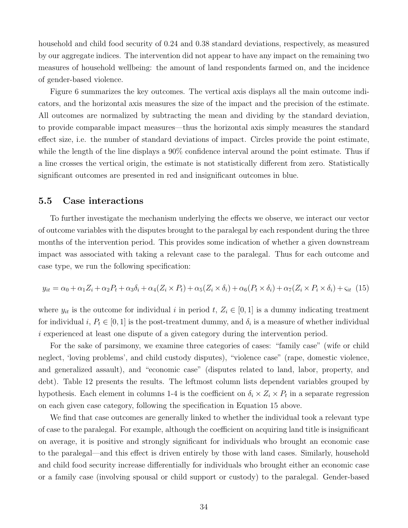household and child food security of 0.24 and 0.38 standard deviations, respectively, as measured by our aggregate indices. The intervention did not appear to have any impact on the remaining two measures of household wellbeing: the amount of land respondents farmed on, and the incidence of gender-based violence.

Figure [6](#page-52-0) summarizes the key outcomes. The vertical axis displays all the main outcome indicators, and the horizontal axis measures the size of the impact and the precision of the estimate. All outcomes are normalized by subtracting the mean and dividing by the standard deviation, to provide comparable impact measures—thus the horizontal axis simply measures the standard effect size, i.e. the number of standard deviations of impact. Circles provide the point estimate, while the length of the line displays a 90% confidence interval around the point estimate. Thus if a line crosses the vertical origin, the estimate is not statistically different from zero. Statistically significant outcomes are presented in red and insignificant outcomes in blue.

#### 5.5 Case interactions

To further investigate the mechanism underlying the effects we observe, we interact our vector of outcome variables with the disputes brought to the paralegal by each respondent during the three months of the intervention period. This provides some indication of whether a given downstream impact was associated with taking a relevant case to the paralegal. Thus for each outcome and case type, we run the following specification:

<span id="page-33-0"></span>
$$
y_{it} = \alpha_0 + \alpha_1 Z_i + \alpha_2 P_t + \alpha_3 \delta_i + \alpha_4 (Z_i \times P_t) + \alpha_5 (Z_i \times \delta_i) + \alpha_6 (P_t \times \delta_i) + \alpha_7 (Z_i \times P_i \times \delta_i) + \varsigma_{it} (15)
$$

where  $y_{it}$  is the outcome for individual i in period t,  $Z_i \in [0,1]$  is a dummy indicating treatment for individual i,  $P_t \in [0,1]$  is the post-treatment dummy, and  $\delta_i$  is a measure of whether individual i experienced at least one dispute of a given category during the intervention period.

For the sake of parsimony, we examine three categories of cases: "family case" (wife or child neglect, 'loving problems', and child custody disputes), "violence case" (rape, domestic violence, and generalized assault), and "economic case" (disputes related to land, labor, property, and debt). Table [12](#page-55-0) presents the results. The leftmost column lists dependent variables grouped by hypothesis. Each element in columns 1-4 is the coefficient on  $\delta_i \times Z_i \times P_t$  in a separate regression on each given case category, following the specification in Equation [15](#page-33-0) above.

We find that case outcomes are generally linked to whether the individual took a relevant type of case to the paralegal. For example, although the coefficient on acquiring land title is insignificant on average, it is positive and strongly significant for individuals who brought an economic case to the paralegal—and this effect is driven entirely by those with land cases. Similarly, household and child food security increase differentially for individuals who brought either an economic case or a family case (involving spousal or child support or custody) to the paralegal. Gender-based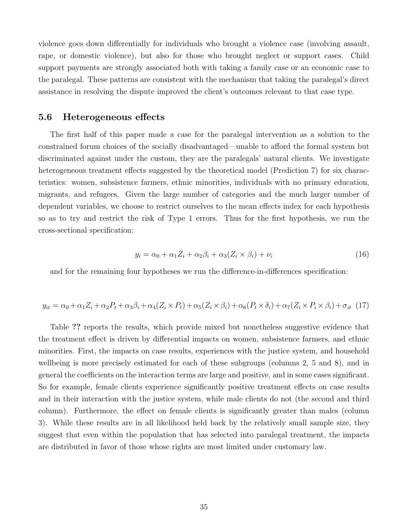violence goes down differentially for individuals who brought a violence case (involving assault, rape, or domestic violence), but also for those who brought neglect or support cases. Child support payments are strongly associated both with taking a family case or an economic case to the paralegal. These patterns are consistent with the mechanism that taking the paralegal's direct assistance in resolving the dispute improved the client's outcomes relevant to that case type.

#### 5.6 Heterogeneous effects

The first half of this paper made a case for the paralegal intervention as a solution to the constrained forum choices of the socially disadvantaged—unable to afford the formal system but discriminated against under the custom, they are the paralegals' natural clients. We investigate heterogeneous treatment effects suggested by the theoretical model (Prediction [7\)](#page-14-2) for six characteristics: women, subsistence farmers, ethnic minorities, individuals with no primary education, migrants, and refugees. Given the large number of categories and the much larger number of dependent variables, we choose to restrict ourselves to the mean effects index for each hypothesis so as to try and restrict the risk of Type 1 errors. Thus for the first hypothesis, we run the cross-sectional specification:

$$
y_i = \alpha_0 + \alpha_1 Z_i + \alpha_2 \beta_i + \alpha_3 (Z_i \times \beta_i) + \nu_i \tag{16}
$$

and for the remaining four hypotheses we run the difference-in-differences specification:

$$
y_{it} = \alpha_0 + \alpha_1 Z_i + \alpha_2 P_t + \alpha_3 \beta_i + \alpha_4 (Z_i \times P_t) + \alpha_5 (Z_i \times \beta_i) + \alpha_6 (P_t \times \delta_i) + \alpha_7 (Z_i \times P_i \times \beta_i) + \sigma_{it} (17)
$$

Table ?? reports the results, which provide mixed but nonetheless suggestive evidence that the treatment effect is driven by differential impacts on women, subsistence farmers, and ethnic minorities. First, the impacts on case results, experiences with the justice system, and household wellbeing is more precisely estimated for each of these subgroups (columns 2, 5 and 8), and in general the coefficients on the interaction terms are large and positive, and in some cases significant. So for example, female clients experience significantly positive treatment effects on case results and in their interaction with the justice system, while male clients do not (the second and third column). Furthermore, the effect on female clients is significantly greater than males (column 3). While these results are in all likelihood held back by the relatively small sample size, they suggest that even within the population that has selected into paralegal treatment, the impacts are distributed in favor of those whose rights are most limited under customary law.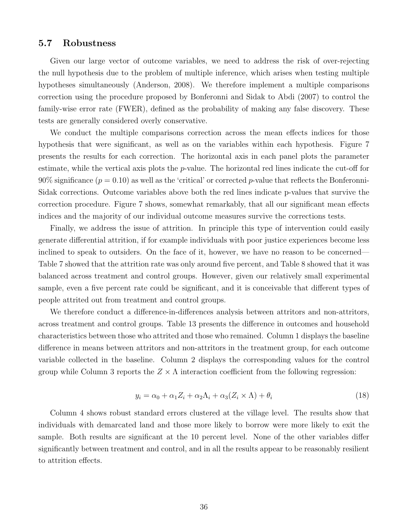### <span id="page-35-0"></span>5.7 Robustness

Given our large vector of outcome variables, we need to address the risk of over-rejecting the null hypothesis due to the problem of multiple inference, which arises when testing multiple hypotheses simultaneously [\(Anderson,](#page-37-13) [2008\)](#page-37-13). We therefore implement a multiple comparisons correction using the procedure proposed by Bonferonni and Sidak to [Abdi](#page-36-1) [\(2007\)](#page-36-1) to control the family-wise error rate (FWER), defined as the probability of making any false discovery. These tests are generally considered overly conservative.

We conduct the multiple comparisons correction across the mean effects indices for those hypothesis that were significant, as well as on the variables within each hypothesis. Figure [7](#page-57-0) presents the results for each correction. The horizontal axis in each panel plots the parameter estimate, while the vertical axis plots the p-value. The horizontal red lines indicate the cut-off for  $90\%$  significance ( $p = 0.10$ ) as well as the 'critical' or corrected p-value that reflects the Bonferonni-Sidak corrections. Outcome variables above both the red lines indicate p-values that survive the correction procedure. Figure [7](#page-57-0) shows, somewhat remarkably, that all our significant mean effects indices and the majority of our individual outcome measures survive the corrections tests.

Finally, we address the issue of attrition. In principle this type of intervention could easily generate differential attrition, if for example individuals with poor justice experiences become less inclined to speak to outsiders. On the face of it, however, we have no reason to be concerned— Table [7](#page-49-0) showed that the attrition rate was only around five percent, and Table [8](#page-50-0) showed that it was balanced across treatment and control groups. However, given our relatively small experimental sample, even a five percent rate could be significant, and it is conceivable that different types of people attrited out from treatment and control groups.

We therefore conduct a difference-in-differences analysis between attritors and non-attritors, across treatment and control groups. Table [13](#page-56-0) presents the difference in outcomes and household characteristics between those who attrited and those who remained. Column 1 displays the baseline difference in means between attritors and non-attritors in the treatment group, for each outcome variable collected in the baseline. Column 2 displays the corresponding values for the control group while Column 3 reports the  $Z \times \Lambda$  interaction coefficient from the following regression:

$$
y_i = \alpha_0 + \alpha_1 Z_i + \alpha_2 \Lambda_i + \alpha_3 (Z_i \times \Lambda) + \theta_i \tag{18}
$$

Column 4 shows robust standard errors clustered at the village level. The results show that individuals with demarcated land and those more likely to borrow were more likely to exit the sample. Both results are significant at the 10 percent level. None of the other variables differ significantly between treatment and control, and in all the results appear to be reasonably resilient to attrition effects.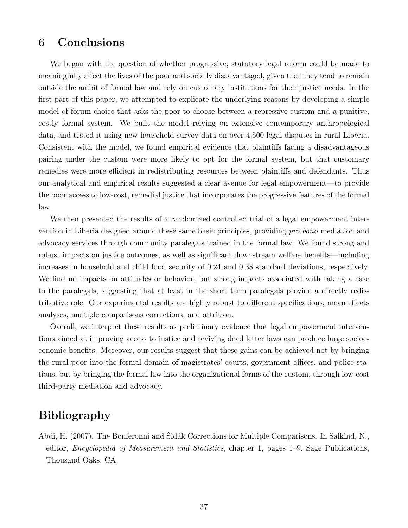## <span id="page-36-0"></span>6 Conclusions

We began with the question of whether progressive, statutory legal reform could be made to meaningfully affect the lives of the poor and socially disadvantaged, given that they tend to remain outside the ambit of formal law and rely on customary institutions for their justice needs. In the first part of this paper, we attempted to explicate the underlying reasons by developing a simple model of forum choice that asks the poor to choose between a repressive custom and a punitive, costly formal system. We built the model relying on extensive contemporary anthropological data, and tested it using new household survey data on over 4,500 legal disputes in rural Liberia. Consistent with the model, we found empirical evidence that plaintiffs facing a disadvantageous pairing under the custom were more likely to opt for the formal system, but that customary remedies were more efficient in redistributing resources between plaintiffs and defendants. Thus our analytical and empirical results suggested a clear avenue for legal empowerment—to provide the poor access to low-cost, remedial justice that incorporates the progressive features of the formal law.

We then presented the results of a randomized controlled trial of a legal empowerment intervention in Liberia designed around these same basic principles, providing pro bono mediation and advocacy services through community paralegals trained in the formal law. We found strong and robust impacts on justice outcomes, as well as significant downstream welfare benefits—including increases in household and child food security of 0.24 and 0.38 standard deviations, respectively. We find no impacts on attitudes or behavior, but strong impacts associated with taking a case to the paralegals, suggesting that at least in the short term paralegals provide a directly redistributive role. Our experimental results are highly robust to different specifications, mean effects analyses, multiple comparisons corrections, and attrition.

Overall, we interpret these results as preliminary evidence that legal empowerment interventions aimed at improving access to justice and reviving dead letter laws can produce large socioeconomic benefits. Moreover, our results suggest that these gains can be achieved not by bringing the rural poor into the formal domain of magistrates' courts, government offices, and police stations, but by bringing the formal law into the organizational forms of the custom, through low-cost third-party mediation and advocacy.

# Bibliography

<span id="page-36-1"></span>Abdi, H. (2007). The Bonferonni and Sidák Corrections for Multiple Comparisons. In Salkind, N., editor, Encyclopedia of Measurement and Statistics, chapter 1, pages 1–9. Sage Publications, Thousand Oaks, CA.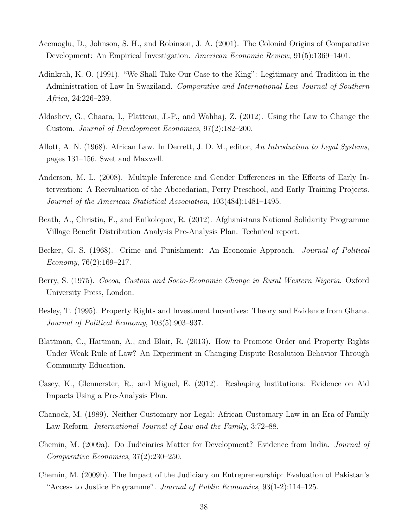- <span id="page-37-0"></span>Acemoglu, D., Johnson, S. H., and Robinson, J. A. (2001). The Colonial Origins of Comparative Development: An Empirical Investigation. American Economic Review, 91(5):1369–1401.
- <span id="page-37-10"></span>Adinkrah, K. O. (1991). "We Shall Take Our Case to the King": Legitimacy and Tradition in the Administration of Law In Swaziland. Comparative and International Law Journal of Southern Africa, 24:226–239.
- <span id="page-37-9"></span>Aldashev, G., Chaara, I., Platteau, J.-P., and Wahhaj, Z. (2012). Using the Law to Change the Custom. Journal of Development Economics, 97(2):182–200.
- <span id="page-37-11"></span>Allott, A. N. (1968). African Law. In Derrett, J. D. M., editor, An Introduction to Legal Systems, pages 131–156. Swet and Maxwell.
- <span id="page-37-13"></span>Anderson, M. L. (2008). Multiple Inference and Gender Differences in the Effects of Early Intervention: A Reevaluation of the Abecedarian, Perry Preschool, and Early Training Projects. Journal of the American Statistical Association, 103(484):1481–1495.
- <span id="page-37-4"></span>Beath, A., Christia, F., and Enikolopov, R. (2012). Afghanistans National Solidarity Programme Village Benefit Distribution Analysis Pre-Analysis Plan. Technical report.
- <span id="page-37-12"></span>Becker, G. S. (1968). Crime and Punishment: An Economic Approach. *Journal of Political* Economy,  $76(2):169-217$ .
- <span id="page-37-7"></span>Berry, S. (1975). Cocoa, Custom and Socio-Economic Change in Rural Western Nigeria. Oxford University Press, London.
- <span id="page-37-1"></span>Besley, T. (1995). Property Rights and Investment Incentives: Theory and Evidence from Ghana. Journal of Political Economy, 103(5):903–937.
- <span id="page-37-6"></span>Blattman, C., Hartman, A., and Blair, R. (2013). How to Promote Order and Property Rights Under Weak Rule of Law? An Experiment in Changing Dispute Resolution Behavior Through Community Education.
- <span id="page-37-5"></span>Casey, K., Glennerster, R., and Miguel, E. (2012). Reshaping Institutions: Evidence on Aid Impacts Using a Pre-Analysis Plan.
- <span id="page-37-8"></span>Chanock, M. (1989). Neither Customary nor Legal: African Customary Law in an Era of Family Law Reform. International Journal of Law and the Family, 3:72–88.
- <span id="page-37-2"></span>Chemin, M. (2009a). Do Judiciaries Matter for Development? Evidence from India. Journal of Comparative Economics, 37(2):230–250.
- <span id="page-37-3"></span>Chemin, M. (2009b). The Impact of the Judiciary on Entrepreneurship: Evaluation of Pakistan's "Access to Justice Programme". Journal of Public Economics, 93(1-2):114–125.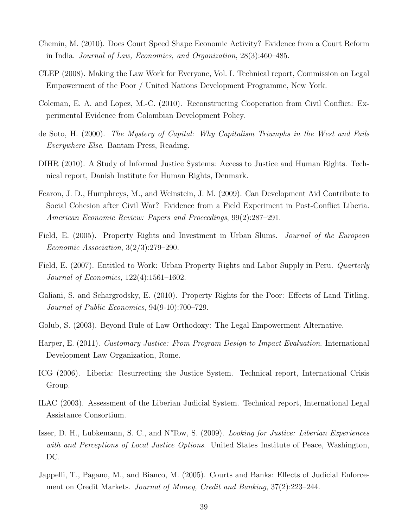- <span id="page-38-4"></span>Chemin, M. (2010). Does Court Speed Shape Economic Activity? Evidence from a Court Reform in India. Journal of Law, Economics, and Organization, 28(3):460–485.
- <span id="page-38-5"></span>CLEP (2008). Making the Law Work for Everyone, Vol. I. Technical report, Commission on Legal Empowerment of the Poor / United Nations Development Programme, New York.
- <span id="page-38-10"></span>Coleman, E. A. and Lopez, M.-C. (2010). Reconstructing Cooperation from Civil Conflict: Experimental Evidence from Colombian Development Policy.
- <span id="page-38-6"></span>de Soto, H. (2000). The Mystery of Capital: Why Capitalism Triumphs in the West and Fails Everywhere Else. Bantam Press, Reading.
- <span id="page-38-14"></span>DIHR (2010). A Study of Informal Justice Systems: Access to Justice and Human Rights. Technical report, Danish Institute for Human Rights, Denmark.
- <span id="page-38-11"></span>Fearon, J. D., Humphreys, M., and Weinstein, J. M. (2009). Can Development Aid Contribute to Social Cohesion after Civil War? Evidence from a Field Experiment in Post-Conflict Liberia. American Economic Review: Papers and Proceedings, 99(2):287–291.
- <span id="page-38-0"></span>Field, E. (2005). Property Rights and Investment in Urban Slums. Journal of the European Economic Association, 3(2/3):279–290.
- <span id="page-38-1"></span>Field, E. (2007). Entitled to Work: Urban Property Rights and Labor Supply in Peru. *Quarterly* Journal of Economics, 122(4):1561–1602.
- <span id="page-38-2"></span>Galiani, S. and Schargrodsky, E. (2010). Property Rights for the Poor: Effects of Land Titling. Journal of Public Economics, 94(9-10):700–729.
- <span id="page-38-9"></span>Golub, S. (2003). Beyond Rule of Law Orthodoxy: The Legal Empowerment Alternative.
- <span id="page-38-7"></span>Harper, E. (2011). Customary Justice: From Program Design to Impact Evaluation. International Development Law Organization, Rome.
- <span id="page-38-13"></span>ICG (2006). Liberia: Resurrecting the Justice System. Technical report, International Crisis Group.
- <span id="page-38-12"></span>ILAC (2003). Assessment of the Liberian Judicial System. Technical report, International Legal Assistance Consortium.
- <span id="page-38-8"></span>Isser, D. H., Lubkemann, S. C., and N'Tow, S. (2009). Looking for Justice: Liberian Experiences with and Perceptions of Local Justice Options. United States Institute of Peace, Washington, DC.
- <span id="page-38-3"></span>Jappelli, T., Pagano, M., and Bianco, M. (2005). Courts and Banks: Effects of Judicial Enforcement on Credit Markets. Journal of Money, Credit and Banking, 37(2):223–244.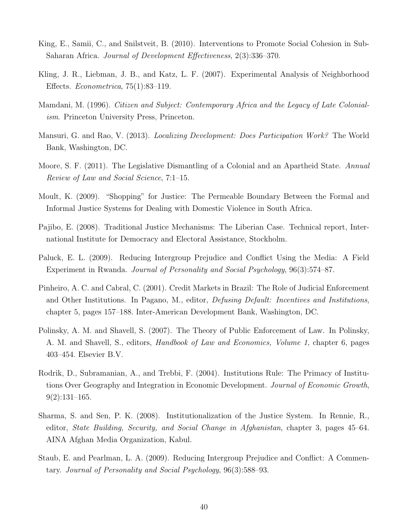- <span id="page-39-6"></span>King, E., Samii, C., and Snilstveit, B. (2010). Interventions to Promote Social Cohesion in Sub-Saharan Africa. Journal of Development Effectiveness, 2(3):336–370.
- <span id="page-39-12"></span>Kling, J. R., Liebman, J. B., and Katz, L. F. (2007). Experimental Analysis of Neighborhood Effects. Econometrica, 75(1):83–119.
- <span id="page-39-11"></span>Mamdani, M. (1996). Citizen and Subject: Contemporary Africa and the Legacy of Late Colonialism. Princeton University Press, Princeton.
- <span id="page-39-7"></span>Mansuri, G. and Rao, V. (2013). Localizing Development: Does Participation Work? The World Bank, Washington, DC.
- <span id="page-39-9"></span>Moore, S. F. (2011). The Legislative Dismantling of a Colonial and an Apartheid State. Annual Review of Law and Social Science, 7:1–15.
- <span id="page-39-2"></span>Moult, K. (2009). "Shopping" for Justice: The Permeable Boundary Between the Formal and Informal Justice Systems for Dealing with Domestic Violence in South Africa.
- <span id="page-39-8"></span>Pajibo, E. (2008). Traditional Justice Mechanisms: The Liberian Case. Technical report, International Institute for Democracy and Electoral Assistance, Stockholm.
- <span id="page-39-5"></span>Paluck, E. L. (2009). Reducing Intergroup Prejudice and Conflict Using the Media: A Field Experiment in Rwanda. Journal of Personality and Social Psychology, 96(3):574–87.
- <span id="page-39-1"></span>Pinheiro, A. C. and Cabral, C. (2001). Credit Markets in Brazil: The Role of Judicial Enforcement and Other Institutions. In Pagano, M., editor, *Defusing Default: Incentives and Institutions*, chapter 5, pages 157–188. Inter-American Development Bank, Washington, DC.
- <span id="page-39-10"></span>Polinsky, A. M. and Shavell, S. (2007). The Theory of Public Enforcement of Law. In Polinsky, A. M. and Shavell, S., editors, Handbook of Law and Economics, Volume 1, chapter 6, pages 403–454. Elsevier B.V.
- <span id="page-39-0"></span>Rodrik, D., Subramanian, A., and Trebbi, F. (2004). Institutions Rule: The Primacy of Institutions Over Geography and Integration in Economic Development. Journal of Economic Growth,  $9(2):131-165.$
- <span id="page-39-3"></span>Sharma, S. and Sen, P. K. (2008). Institutionalization of the Justice System. In Rennie, R., editor, State Building, Security, and Social Change in Afghanistan, chapter 3, pages 45–64. AINA Afghan Media Organization, Kabul.
- <span id="page-39-4"></span>Staub, E. and Pearlman, L. A. (2009). Reducing Intergroup Prejudice and Conflict: A Commentary. Journal of Personality and Social Psychology, 96(3):588–93.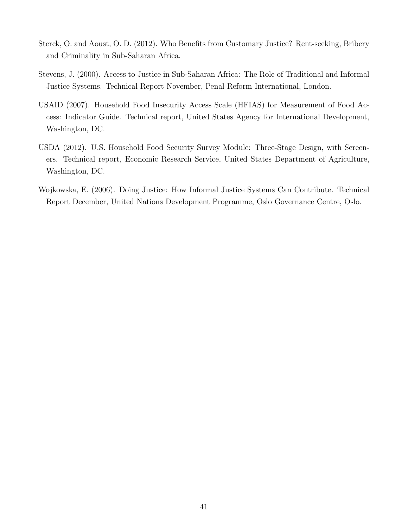- <span id="page-40-2"></span>Sterck, O. and Aoust, O. D. (2012). Who Benefits from Customary Justice? Rent-seeking, Bribery and Criminality in Sub-Saharan Africa.
- <span id="page-40-1"></span>Stevens, J. (2000). Access to Justice in Sub-Saharan Africa: The Role of Traditional and Informal Justice Systems. Technical Report November, Penal Reform International, London.
- <span id="page-40-3"></span>USAID (2007). Household Food Insecurity Access Scale (HFIAS) for Measurement of Food Access: Indicator Guide. Technical report, United States Agency for International Development, Washington, DC.
- <span id="page-40-4"></span>USDA (2012). U.S. Household Food Security Survey Module: Three-Stage Design, with Screeners. Technical report, Economic Research Service, United States Department of Agriculture, Washington, DC.
- <span id="page-40-0"></span>Wojkowska, E. (2006). Doing Justice: How Informal Justice Systems Can Contribute. Technical Report December, United Nations Development Programme, Oslo Governance Centre, Oslo.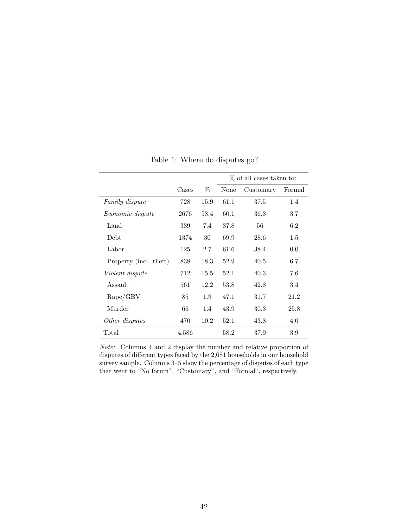<span id="page-41-0"></span>

|                         |       |      | % of all cases taken to: |           |        |  |
|-------------------------|-------|------|--------------------------|-----------|--------|--|
|                         | Cases | %    | None                     | Customary | Formal |  |
| Family dispute          | 728   | 15.9 | 61.1                     | 37.5      | 1.4    |  |
| <i>Economic dispute</i> | 2676  | 58.4 | 60.1                     | 36.3      | 3.7    |  |
| Land                    | 339   | 7.4  | 37.8                     | 56        | 6.2    |  |
| <b>Debt</b>             | 1374  | 30   | 69.9                     | 28.6      | 1.5    |  |
| Labor                   | 125   | 2.7  | 61.6                     | 38.4      | 0.0    |  |
| Property (incl. theft)  | 838   | 18.3 | 52.9                     | 40.5      | 6.7    |  |
| Violent dispute         | 712   | 15.5 | 52.1                     | 40.3      | 7.6    |  |
| Assault                 | 561   | 12.2 | 53.8                     | 42.8      | 3.4    |  |
| $\rm{Rape}/\rm{GBV}$    | 85    | 1.9  | 47.1                     | 31.7      | 21.2   |  |
| Murder                  | 66    | 1.4  | 43.9                     | 30.3      | 25.8   |  |
| Other disputes          | 470   | 10.2 | 52.1                     | 43.8      | 4.0    |  |
| Total                   | 4,586 |      | 58.2                     | 37.9      | 3.9    |  |

Table 1: Where do disputes go?

Note: Columns 1 and 2 display the number and relative proportion of disputes of different types faced by the 2,081 households in our household survey sample. Columns 3–5 show the percentage of disputes of each type that went to "No forum", "Customary", and "Formal", respectively.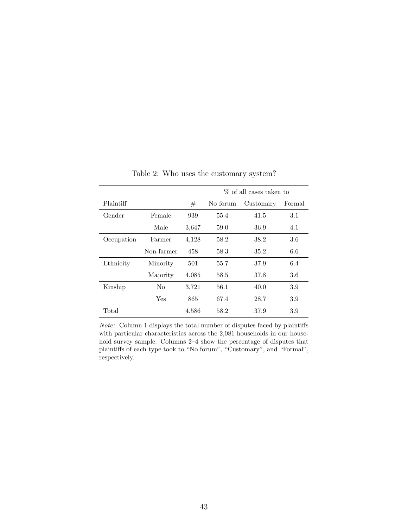<span id="page-42-0"></span>

|            |            |       | % of all cases taken to |           |        |  |  |
|------------|------------|-------|-------------------------|-----------|--------|--|--|
| Plaintiff  |            | #     | No forum                | Customary | Formal |  |  |
| Gender     | Female     | 939   | 55.4                    | 41.5      | 3.1    |  |  |
|            | Male       | 3,647 | 59.0                    | 36.9      | 4.1    |  |  |
| Occupation | Farmer     | 4,128 | 58.2                    | 38.2      | 3.6    |  |  |
|            | Non-farmer | 458   | 58.3                    | 35.2      | 6.6    |  |  |
| Ethnicity  | Minority   | 501   | 55.7                    | 37.9      | 6.4    |  |  |
|            | Majority   | 4,085 | 58.5                    | 37.8      | 3.6    |  |  |
| Kinship    | $\rm No$   | 3,721 | 56.1                    | 40.0      | 3.9    |  |  |
|            | Yes        | 865   | 67.4                    | 28.7      | 3.9    |  |  |
| Total      |            | 4,586 | 58.2                    | 37.9      | 3.9    |  |  |

Table 2: Who uses the customary system?

Note: Column 1 displays the total number of disputes faced by plaintiffs with particular characteristics across the 2,081 households in our household survey sample. Columns 2–4 show the percentage of disputes that plaintiffs of each type took to "No forum", "Customary", and "Formal", respectively.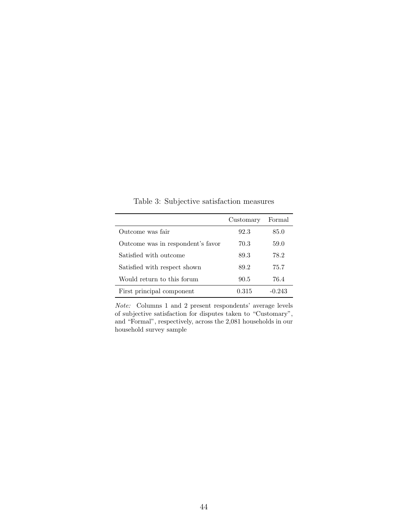<span id="page-43-0"></span>

|                                   | Customary | Formal   |
|-----------------------------------|-----------|----------|
| Outcome was fair                  | 92.3      | 85.0     |
| Outcome was in respondent's favor | 70.3      | 59.0     |
| Satisfied with outcome            | 89.3      | 78.2     |
| Satisfied with respect shown      | 89.2      | 75.7     |
| Would return to this forum        | 90.5      | 76.4     |
| First principal component         | 0.315     | $-0.243$ |

Table 3: Subjective satisfaction measures

Note: Columns 1 and 2 present respondents' average levels of subjective satisfaction for disputes taken to "Customary", and "Formal", respectively, across the 2,081 households in our household survey sample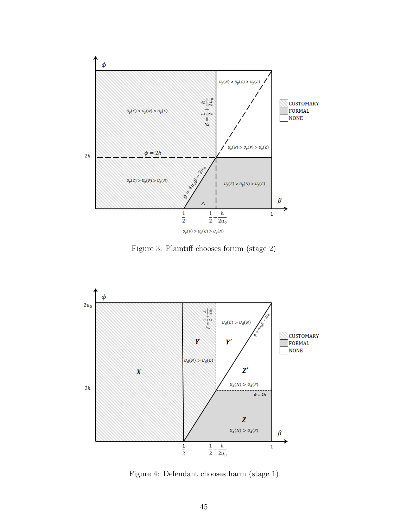<span id="page-44-0"></span>

Figure 3: Plaintiff chooses forum (stage 2)

<span id="page-44-1"></span>

Figure 4: Defendant chooses harm (stage 1)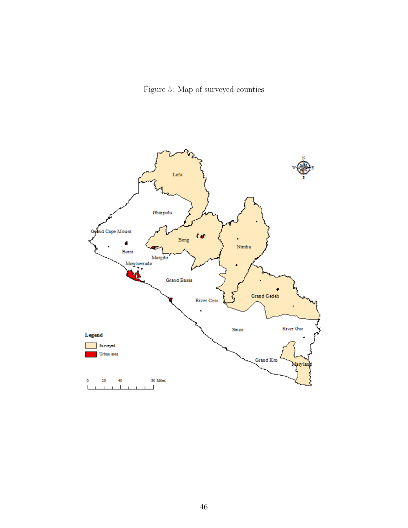Figure 5: Map of surveyed counties

<span id="page-45-0"></span>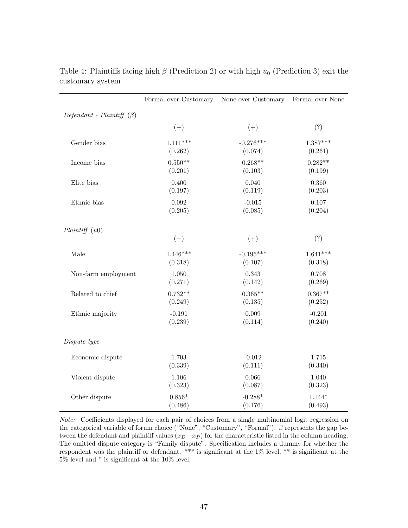|                                 | Formal over Customary | None over Customary | Formal over None |
|---------------------------------|-----------------------|---------------------|------------------|
| Defendant - Plaintiff $(\beta)$ |                       |                     |                  |
|                                 | $(+)$                 | $(+)$               | (?)              |
| Gender bias                     | $1.111***$            | $-0.276***$         | $1.387***$       |
|                                 | (0.262)               | (0.074)             | (0.261)          |
| Income bias                     | $0.550**$             | $0.268**$           | $0.282**$        |
|                                 | (0.201)               | (0.103)             | (0.199)          |
| Elite bias                      | 0.400                 | 0.040               | 0.360            |
|                                 | (0.197)               | (0.119)             | (0.203)          |
| Ethnic bias                     | 0.092                 | $-0.015$            | 0.107            |
|                                 | (0.205)               | (0.085)             | (0.204)          |
| Plaintiff(u0)                   | $(+)$                 | $(+)$               | (?)              |
| Male                            | $1.446***$            | $-0.195***$         | $1.641***$       |
|                                 | (0.318)               | (0.107)             | (0.318)          |
| Non-farm employment             | 1.050                 | 0.343               | 0.708            |
|                                 | (0.271)               | (0.142)             | (0.269)          |
| Related to chief                | $0.732**$             | $0.365**$           | $0.367**$        |
|                                 | (0.249)               | (0.135)             | (0.252)          |
| Ethnic majority                 | $-0.191$              | 0.009               | $-0.201$         |
|                                 | (0.239)               | (0.114)             | (0.240)          |
| Dispute type                    |                       |                     |                  |
| Economic dispute                | 1.703                 | $-0.012$            | 1.715            |
|                                 | (0.339)               | (0.111)             | (0.340)          |
| Violent dispute                 | 1.106                 | 0.066               | 1.040            |
|                                 | (0.323)               | (0.087)             | (0.323)          |
| Other dispute                   | $0.856*$              | $-0.288*$           | $1.144*$         |
|                                 | (0.486)               | (0.176)             | (0.493)          |

<span id="page-46-0"></span>Table 4: Plaintiffs facing high  $\beta$  (Prediction [2\)](#page-11-1) or with high  $u_0$  (Prediction [3\)](#page-12-0) exit the customary system

Note: Coefficients displayed for each pair of choices from a single multinomial logit regression on the categorical variable of forum choice ("None", "Customary", "Formal").  $\beta$  represents the gap between the defendant and plaintiff values  $(x_D - x_P)$  for the characteristic listed in the column heading. The omitted dispute category is "Family dispute". Specification includes a dummy for whether the respondent was the plaintiff or defendant. \*\*\* is significant at the 1% level, \*\* is significant at the 5% level and \* is significant at the 10% level.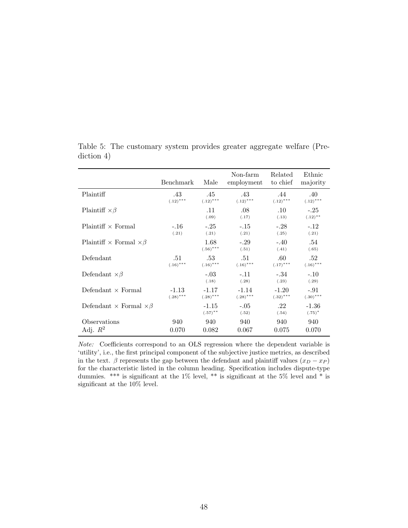|                                          | Benchmark   | Male                  | Non-farm<br>employment | Related<br>to chief | Ethnic<br>majority   |
|------------------------------------------|-------------|-----------------------|------------------------|---------------------|----------------------|
| Plaintiff                                | .43         | .45                   | .43                    | .44                 | .40                  |
|                                          | $(.12)$ *** | $(.12)$ ***           | $(.12)$ ***            | $(.12)$ ***         | $(.12)$ ***          |
| Plaintiff $\times \beta$                 |             | .11<br>(.09)          | .08<br>(.17)           | $.10\,$<br>(.13)    | $-.25$<br>$(.12)$ ** |
| $Plaintiff \times Formal$                | $-.16$      | $-.25$                | $-.15$                 | $-.28$              | $-.12$               |
|                                          | (.21)       | (.21)                 | (.21)                  | (.25)               | (.21)                |
| Plaintiff $\times$ Formal $\times \beta$ |             | 1.68<br>$(.56)$ ***   | $-.29$<br>(.51)        | $-.40$<br>(.41)     | .54<br>(.65)         |
| Defendant                                | .51         | .53                   | .51                    | .60                 | .52                  |
|                                          | $(.16)$ *** | $(.16)$ ***           | $(.16)$ ***            | $(.17)$ ***         | $(.16)$ ***          |
| Defendant $\times \beta$                 |             | $-.03$<br>(.18)       | $-.11$<br>(.28)        | $-.34$<br>(.23)     | $-.10$<br>(.29)      |
| Defendant $\times$ Formal                | $-1.13$     | $-1.17$               | $-1.14$                | $-1.20$             | $-.91$               |
|                                          | $(.28)$ *** | $(.28)$ ***           | $(.28)$ ***            | $(.32)$ ***         | $(.30)$ ***          |
| Defendant $\times$ Formal $\times \beta$ |             | $-1.15$<br>$(.57)$ ** | $-.05$<br>(.52)        | .22<br>(.54)        | $-1.36$<br>$(.75)^*$ |
| Observations                             | 940         | 940                   | 940                    | 940                 | 940                  |
| Adj. $R^2$                               | 0.070       | 0.082                 | 0.067                  | 0.075               | 0.070                |

<span id="page-47-0"></span>Table 5: The customary system provides greater aggregate welfare (Prediction [4\)](#page-12-1)

Note: Coefficients correspond to an OLS regression where the dependent variable is 'utility', i.e., the first principal component of the subjective justice metrics, as described in the text. β represents the gap between the defendant and plaintiff values  $(x_D - x_P)$ for the characteristic listed in the column heading. Specification includes dispute-type dummies. \*\*\* is significant at the 1% level, \*\* is significant at the 5% level and \* is significant at the 10% level.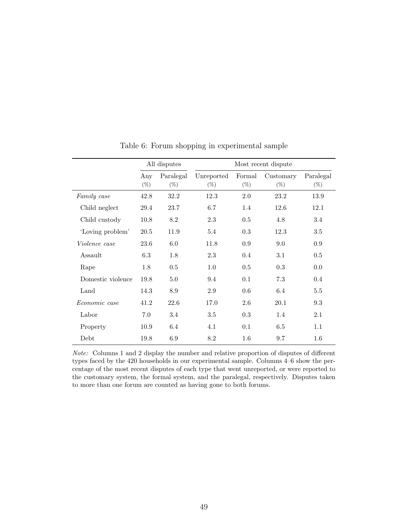<span id="page-48-0"></span>

|                      | All disputes  |                     |                      |                  |                     |                     |
|----------------------|---------------|---------------------|----------------------|------------------|---------------------|---------------------|
|                      | Any<br>$(\%)$ | Paralegal<br>$(\%)$ | Unreported<br>$(\%)$ | Formal<br>$(\%)$ | Customary<br>$(\%)$ | Paralegal<br>$(\%)$ |
| Family case          | 42.8          | 32.2                | 12.3                 | 2.0              | 23.2                | 13.9                |
| Child neglect        | 29.4          | 23.7                | 6.7                  | 1.4              | 12.6                | 12.1                |
| Child custody        | 10.8          | 8.2                 | 2.3                  | 0.5              | 4.8                 | 3.4                 |
| 'Loving problem'     | 20.5          | 11.9                | 5.4                  | 0.3              | 12.3                | 3.5                 |
| <i>Violence case</i> | 23.6          | 6.0                 | 11.8                 | 0.9              | 9.0                 | 0.9                 |
| Assault              | 6.3           | 1.8                 | 2.3                  | 0.4              | 3.1                 | 0.5                 |
| Rape                 | 1.8           | 0.5                 | 1.0                  | 0.5              | 0.3                 | 0.0                 |
| Domestic violence    | 19.8          | 5.0                 | 9.4                  | 0.1              | 7.3                 | 0.4                 |
| Land                 | 14.3          | 8.9                 | 2.9                  | 0.6              | 6.4                 | 5.5                 |
| Economic case        | 41.2          | 22.6                | 17.0                 | 2.6              | 20.1                | 9.3                 |
| Labor                | 7.0           | 3.4                 | 3.5                  | 0.3              | 1.4                 | 2.1                 |
| Property             | 10.9          | 6.4                 | 4.1                  | 0.1              | 6.5                 | 1.1                 |
| Debt                 | 19.8          | 6.9                 | 8.2                  | 1.6              | 9.7                 | 1.6                 |

Table 6: Forum shopping in experimental sample

Note: Columns 1 and 2 display the number and relative proportion of disputes of different types faced by the 420 households in our experimental sample. Columns 4–6 show the percentage of the most recent disputes of each type that went unreported, or were reported to the customary system, the formal system, and the paralegal, respectively. Disputes taken to more than one forum are counted as having gone to both forums.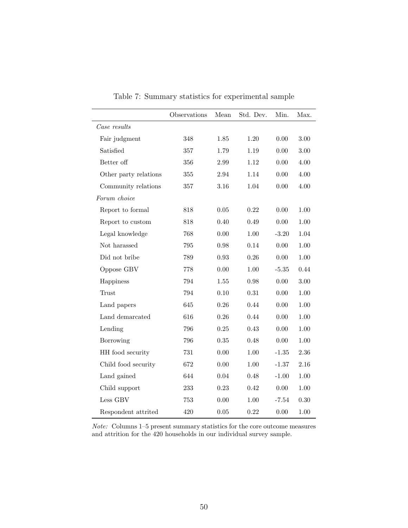<span id="page-49-0"></span>

|                       | Observations | Mean       | Std. Dev. | Min.     | Max.     |
|-----------------------|--------------|------------|-----------|----------|----------|
| Case results          |              |            |           |          |          |
| Fair judgment         | 348          | 1.85       | 1.20      | 0.00     | 3.00     |
| Satisfied             | 357          | 1.79       | 1.19      | 0.00     | 3.00     |
| Better off            | 356          | 2.99       | 1.12      | 0.00     | 4.00     |
| Other party relations | $355\,$      | $\;\:2.94$ | 1.14      | $0.00\,$ | 4.00     |
| Community relations   | 357          | 3.16       | 1.04      | $0.00\,$ | 4.00     |
| Forum choice          |              |            |           |          |          |
| Report to formal      | 818          | 0.05       | 0.22      | 0.00     | 1.00     |
| Report to custom      | 818          | 0.40       | 0.49      | 0.00     | 1.00     |
| Legal knowledge       | 768          | 0.00       | 1.00      | $-3.20$  | 1.04     |
| Not harassed          | 795          | $0.98\,$   | 0.14      | 0.00     | $1.00\,$ |
| Did not bribe         | 789          | 0.93       | 0.26      | 0.00     | 1.00     |
| Oppose GBV            | 778          | 0.00       | 1.00      | $-5.35$  | 0.44     |
| Happiness             | 794          | $1.55\,$   | $0.98\,$  | $0.00\,$ | 3.00     |
| Trust                 | 794          | 0.10       | 0.31      | 0.00     | 1.00     |
| Land papers           | 645          | 0.26       | 0.44      | 0.00     | 1.00     |
| Land demarcated       | 616          | 0.26       | 0.44      | 0.00     | 1.00     |
| Lending               | 796          | 0.25       | 0.43      | 0.00     | 1.00     |
| Borrowing             | 796          | 0.35       | 0.48      | $0.00\,$ | 1.00     |
| HH food security      | 731          | 0.00       | 1.00      | $-1.35$  | 2.36     |
| Child food security   | 672          | 0.00       | $1.00\,$  | $-1.37$  | 2.16     |
| Land gained           | 644          | 0.04       | 0.48      | $-1.00$  | 1.00     |
| Child support         | 233          | 0.23       | 0.42      | 0.00     | 1.00     |
| Less GBV              | 753          | 0.00       | 1.00      | $-7.54$  | 0.30     |
| Respondent attrited   | 420          | 0.05       | 0.22      | 0.00     | 1.00     |

Table 7: Summary statistics for experimental sample

Note: Columns 1–5 present summary statistics for the core outcome measures and attrition for the 420 households in our individual survey sample.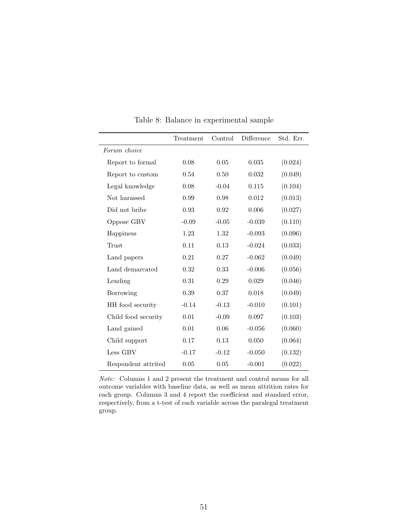<span id="page-50-0"></span>

|                     | Treatment | Control  | Difference | Std. Err. |
|---------------------|-----------|----------|------------|-----------|
| Forum choice        |           |          |            |           |
| Report to formal    | 0.08      | 0.05     | 0.035      | (0.024)   |
| Report to custom    | 0.54      | $0.50\,$ | 0.032      | (0.049)   |
| Legal knowledge     | 0.08      | $-0.04$  | 0.115      | (0.104)   |
| Not harassed        | 0.99      | 0.98     | 0.012      | (0.013)   |
| Did not bribe       | 0.93      | 0.92     | 0.006      | (0.027)   |
| Oppose GBV          | $-0.09$   | $-0.05$  | $-0.039$   | (0.110)   |
| Happiness           | 1.23      | 1.32     | $-0.093$   | (0.096)   |
| Trust               | 0.11      | 0.13     | $-0.024$   | (0.033)   |
| Land papers         | 0.21      | 0.27     | $-0.062$   | (0.049)   |
| Land demarcated     | 0.32      | 0.33     | $-0.006$   | (0.056)   |
| Lending             | 0.31      | 0.29     | 0.029      | (0.046)   |
| Borrowing           | 0.39      | 0.37     | 0.018      | (0.049)   |
| HH food security    | $-0.14$   | $-0.13$  | $-0.010$   | (0.101)   |
| Child food security | 0.01      | $-0.09$  | 0.097      | (0.103)   |
| Land gained         | 0.01      | 0.06     | $-0.056$   | (0.060)   |
| Child support       | 0.17      | 0.13     | 0.050      | (0.064)   |
| Less GBV            | $-0.17$   | $-0.12$  | $-0.050$   | (0.132)   |
| Respondent attrited | 0.05      | 0.05     | $-0.001$   | (0.022)   |

Table 8: Balance in experimental sample

Note: Columns 1 and 2 present the treatment and control means for all outcome variables with baseline data, as well as mean attrition rates for each group. Columns 3 and 4 report the coefficient and standard error, respectively, from a t-test of each variable across the paralegal treatment group.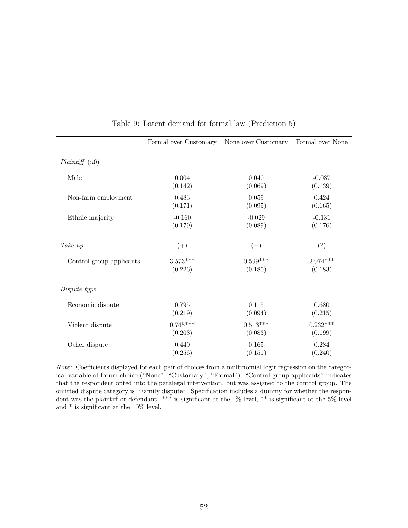<span id="page-51-0"></span>

|                          | Formal over Customary | None over Customary | Formal over None |
|--------------------------|-----------------------|---------------------|------------------|
| Plaintiff(u0)            |                       |                     |                  |
| Male                     | 0.004                 | 0.040               | $-0.037$         |
|                          | (0.142)               | (0.069)             | (0.139)          |
| Non-farm employment      | 0.483                 | 0.059               | 0.424            |
|                          | (0.171)               | (0.095)             | (0.165)          |
| Ethnic majority          | $-0.160$              | $-0.029$            | $-0.131$         |
|                          | (0.179)               | (0.089)             | (0.176)          |
| $Take-up$                | $(+)$                 | $(+)$               | (?)              |
| Control group applicants | $3.573***$            | $0.599***$          | $2.974***$       |
|                          | (0.226)               | (0.180)             | (0.183)          |
| Dispute type             |                       |                     |                  |
| Economic dispute         | 0.795                 | 0.115               | 0.680            |
|                          | (0.219)               | (0.094)             | (0.215)          |
| Violent dispute          | $0.745***$            | $0.513***$          | $0.232***$       |
|                          | (0.203)               | (0.083)             | (0.199)          |
| Other dispute            | 0.449                 | 0.165               | 0.284            |
|                          | (0.256)               | (0.151)             | (0.240)          |

Table 9: Latent demand for formal law (Prediction [5\)](#page-14-0)

Note: Coefficients displayed for each pair of choices from a multinomial logit regression on the categorical variable of forum choice ("None", "Customary", "Formal"). "Control group applicants" indicates that the respondent opted into the paralegal intervention, but was assigned to the control group. The omitted dispute category is "Family dispute". Specification includes a dummy for whether the respondent was the plaintiff or defendant. \*\*\* is significant at the 1% level, \*\* is significant at the 5% level and \* is significant at the 10% level.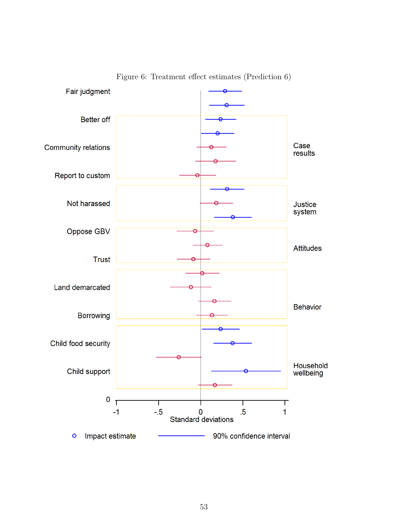<span id="page-52-0"></span>

Figure 6: Treatment effect estimates (Prediction [6\)](#page-14-1)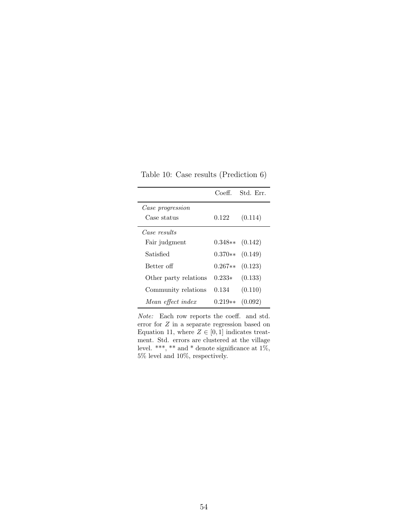<span id="page-53-0"></span>Table 10: Case results (Prediction [6\)](#page-14-1)

|                       | Coeff.    | Std. Err. |
|-----------------------|-----------|-----------|
| Case progression      |           |           |
| Case status           | 0.122     | (0.114)   |
| Case results          |           |           |
| Fair judgment         | $0.348**$ | (0.142)   |
| Satisfied             | $0.370**$ | (0.149)   |
| Better off            | $0.267**$ | (0.123)   |
| Other party relations | $0.233*$  | (0.133)   |
| Community relations   | 0.134     | (0.110)   |
| Mean effect index     | $0.219**$ | (0.092)   |

Note: Each row reports the coeff. and std. error for Z in a separate regression based on Equation [11,](#page-26-0) where  $Z \in [0, 1]$  indicates treatment. Std. errors are clustered at the village level. \*\*\*, \*\* and \* denote significance at 1%, 5% level and 10%, respectively.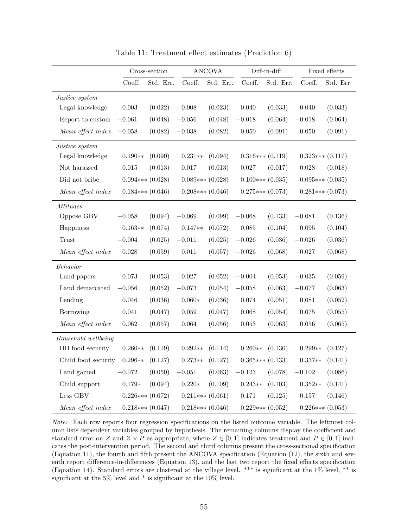<span id="page-54-0"></span>

|                     | Cross-section        |           |                    | <b>ANCOVA</b> |                    | Diff-in-diff. |                    | Fixed effects |  |
|---------------------|----------------------|-----------|--------------------|---------------|--------------------|---------------|--------------------|---------------|--|
|                     | Coeff.               | Std. Err. | Coeff.             | Std. Err.     | Coeff.             | Std. Err.     | Coeff.             | Std. Err.     |  |
| Justice system      |                      |           |                    |               |                    |               |                    |               |  |
| Legal knowledge     | $0.003\,$            | (0.022)   | 0.008              | (0.023)       | 0.040              | (0.033)       | 0.040              | (0.033)       |  |
| Report to custom    | $-0.061$             | (0.048)   | $-0.056$           | (0.048)       | $-0.018$           | (0.064)       | $-0.018$           | (0.064)       |  |
| Mean effect index   | $-0.058$             | (0.082)   | $-0.038$           | (0.082)       | 0.050              | (0.091)       | 0.050              | (0.091)       |  |
| Justice system      |                      |           |                    |               |                    |               |                    |               |  |
| Legal knowledge     | $0.190**$            | (0.090)   | $0.231**$          | (0.094)       | $0.316***(0.119)$  |               | $0.323***(0.117)$  |               |  |
| Not harassed        | 0.015                | (0.013)   | 0.017              | (0.013)       | 0.027              | (0.017)       | 0.028              | (0.018)       |  |
| Did not bribe       | $0.094***$ $(0.028)$ |           | $0.089***$ (0.028) |               | $0.100***$ (0.035) |               | $0.095***(0.035)$  |               |  |
| Mean effect index   | $0.184***$ $(0.046)$ |           | $0.208***(0.046)$  |               | $0.275***$ (0.073) |               | $0.281***$ (0.073) |               |  |
| Attitudes           |                      |           |                    |               |                    |               |                    |               |  |
| Oppose GBV          | $-0.058$             | (0.094)   | $-0.069$           | (0.099)       | $-0.068$           | (0.133)       | $-0.081$           | (0.136)       |  |
| Happiness           | $0.163**$            | (0.074)   | $0.147**$          | (0.072)       | 0.085              | (0.104)       | 0.095              | (0.104)       |  |
| Trust               | $-0.004$             | (0.025)   | $-0.011$           | (0.025)       | $-0.026$           | (0.036)       | $-0.026$           | (0.036)       |  |
| Mean effect index   | $0.028\,$            | (0.059)   | $0.011\,$          | (0.057)       | $-0.026$           | (0.068)       | $-0.027$           | (0.068)       |  |
| Behavior            |                      |           |                    |               |                    |               |                    |               |  |
| Land papers         | 0.073                | (0.053)   | $0.027\,$          | (0.052)       | $-0.004$           | (0.053)       | $-0.035$           | (0.059)       |  |
| Land demarcated     | $-0.056$             | (0.052)   | $-0.073$           | (0.054)       | $-0.058$           | (0.063)       | $-0.077$           | (0.063)       |  |
| Lending             | 0.046                | (0.036)   | $0.060*$           | (0.036)       | $0.074\,$          | (0.051)       | 0.081              | (0.052)       |  |
| Borrowing           | 0.041                | (0.047)   | 0.059              | (0.047)       | 0.068              | (0.054)       | 0.075              | (0.055)       |  |
| Mean effect index   | 0.062                | (0.057)   | 0.064              | (0.056)       | $\,0.053\,$        | (0.063)       | 0.056              | (0.065)       |  |
| Household wellbeing |                      |           |                    |               |                    |               |                    |               |  |
| HH food security    | $0.260**$            | (0.119)   | $0.292**$          | (0.114)       | $0.260**$          | (0.130)       | $0.299**$          | (0.127)       |  |
| Child food security | $0.296**$            | (0.127)   | $0.273**$          | (0.127)       | $0.365***(0.133)$  |               | $0.337**$          | (0.141)       |  |
| Land gained         | $-0.072$             | (0.050)   | $-0.051$           | (0.063)       | $-0.123$           | (0.078)       | $-0.102$           | (0.086)       |  |
| Child support       | $0.179*$             | (0.094)   | $0.220*$           | (0.109)       | $0.243**$          | (0.103)       | $0.352**$          | (0.141)       |  |
| Less GBV            | $0.226***(0.072)$    |           | $0.211***$ (0.061) |               | 0.171              | (0.125)       | 0.157              | (0.146)       |  |
| Mean effect index   | $0.218***$ (0.047)   |           | $0.218***$ (0.046) |               | $0.229***$ (0.052) |               | $0.226***(0.053)$  |               |  |

Table 11: Treatment effect estimates (Prediction [6\)](#page-14-1)

Note: Each row reports four regression specifications on the listed outcome variable. The leftmost column lists dependent variables grouped by hypothesis. The remaining columns display the coefficient and standard error on Z and  $Z \times P$  as appropriate, where  $Z \in [0,1]$  indicates treatment and  $P \in [0,1]$  indicates the post-intervention period. The second and third columns present the cross-sectional specification (Equation [11\)](#page-26-0), the fourth and fifth present the ANCOVA specification (Equation [\(12\)](#page-27-0), the sixth and seventh report difference-in-differences (Equation [13\)](#page-27-1), and the last two report the fixed effects specification (Equation [14\)](#page-27-2). Standard errors are clustered at the village level. \*\*\* is significant at the 1% level, \*\* is significant at the 5% level and \* is significant at the 10% level.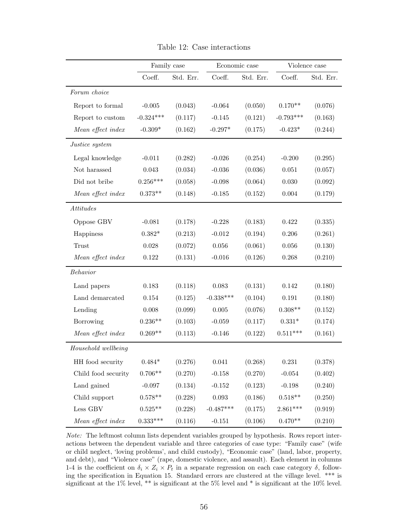<span id="page-55-0"></span>

|                     | Family case |           |             | Economic case | Violence case |           |
|---------------------|-------------|-----------|-------------|---------------|---------------|-----------|
|                     | Coeff.      | Std. Err. | Coeff.      | Std. Err.     | Coeff.        | Std. Err. |
| Forum choice        |             |           |             |               |               |           |
| Report to formal    | $-0.005$    | (0.043)   | $-0.064$    | (0.050)       | $0.170**$     | (0.076)   |
| Report to custom    | $-0.324***$ | (0.117)   | $-0.145$    | (0.121)       | $-0.793***$   | (0.163)   |
| Mean effect index   | $-0.309*$   | (0.162)   | $-0.297*$   | (0.175)       | $-0.423*$     | (0.244)   |
| Justice system      |             |           |             |               |               |           |
| Legal knowledge     | $-0.011$    | (0.282)   | $-0.026$    | (0.254)       | $-0.200$      | (0.295)   |
| Not harassed        | 0.043       | (0.034)   | $-0.036$    | (0.036)       | 0.051         | (0.057)   |
| Did not bribe       | $0.256***$  | (0.058)   | $-0.098$    | (0.064)       | 0.030         | (0.092)   |
| Mean effect index   | $0.373**$   | (0.148)   | $-0.185$    | (0.152)       | 0.004         | (0.179)   |
| Attitudes           |             |           |             |               |               |           |
| Oppose GBV          | $-0.081$    | (0.178)   | $-0.228$    | (0.183)       | 0.422         | (0.335)   |
| Happiness           | $0.382*$    | (0.213)   | $-0.012$    | (0.194)       | 0.206         | (0.261)   |
| Trust               | 0.028       | (0.072)   | 0.056       | (0.061)       | 0.056         | (0.130)   |
| Mean effect index   | 0.122       | (0.131)   | $-0.016$    | (0.126)       | 0.268         | (0.210)   |
| Behavior            |             |           |             |               |               |           |
| Land papers         | 0.183       | (0.118)   | 0.083       | (0.131)       | 0.142         | (0.180)   |
| Land demarcated     | 0.154       | (0.125)   | $-0.338***$ | (0.104)       | 0.191         | (0.180)   |
| Lending             | 0.008       | (0.099)   | $0.005\,$   | (0.076)       | $0.308**$     | (0.152)   |
| Borrowing           | $0.236**$   | (0.103)   | $-0.059$    | (0.117)       | $0.331*$      | (0.174)   |
| Mean effect index   | $0.269**$   | (0.113)   | $-0.146$    | (0.122)       | $0.511***$    | (0.161)   |
| Household wellbeing |             |           |             |               |               |           |
| HH food security    | $0.484*$    | (0.276)   | $\,0.041\,$ | (0.268)       | $0.231\,$     | (0.378)   |
| Child food security | $0.706**$   | (0.270)   | $-0.158$    | (0.270)       | $-0.054$      | (0.402)   |
| Land gained         | $-0.097$    | (0.134)   | $-0.152$    | (0.123)       | $-0.198$      | (0.240)   |
| Child support       | $0.578**$   | (0.228)   | $\,0.093\,$ | (0.186)       | $0.518**$     | (0.250)   |
| $\rm Less~GBV$      | $0.525**$   | (0.228)   | $-0.487***$ | (0.175)       | $2.861***$    | (0.919)   |
| Mean effect index   | $0.333***$  | (0.116)   | $-0.151$    | (0.106)       | $0.470**$     | (0.210)   |

Table 12: Case interactions

Note: The leftmost column lists dependent variables grouped by hypothesis. Rows report interactions between the dependent variable and three categories of case type: "Family case" (wife or child neglect, 'loving problems', and child custody), "Economic case" (land, labor, property, and debt), and "Violence case" (rape, domestic violence, and assault). Each element in columns 1-4 is the coefficient on  $\delta_i \times Z_i \times P_t$  in a separate regression on each case category  $\delta$ , following the specification in Equation [15.](#page-33-0) Standard errors are clustered at the village level. \*\*\* is significant at the 1% level, \*\* is significant at the 5% level and \* is significant at the 10% level.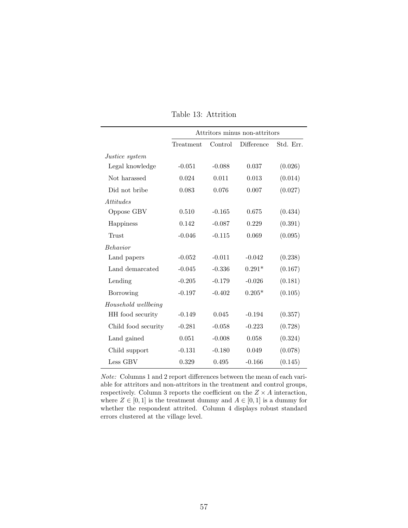<span id="page-56-0"></span>

|                       | Attritors minus non-attritors |          |            |           |
|-----------------------|-------------------------------|----------|------------|-----------|
|                       | Treatment                     | Control  | Difference | Std. Err. |
| <i>Justice system</i> |                               |          |            |           |
| Legal knowledge       | $-0.051$                      | $-0.088$ | 0.037      | (0.026)   |
| Not harassed          | 0.024                         | 0.011    | 0.013      | (0.014)   |
| Did not bribe         | 0.083                         | 0.076    | 0.007      | (0.027)   |
| <i>Attitudes</i>      |                               |          |            |           |
| Oppose GBV            | 0.510                         | $-0.165$ | 0.675      | (0.434)   |
| Happiness             | 0.142                         | $-0.087$ | 0.229      | (0.391)   |
| Trust                 | $-0.046$                      | $-0.115$ | 0.069      | (0.095)   |
| <b>Behavior</b>       |                               |          |            |           |
| Land papers           | $-0.052$                      | $-0.011$ | $-0.042$   | (0.238)   |
| Land demarcated       | $-0.045$                      | $-0.336$ | $0.291*$   | (0.167)   |
| Lending               | $-0.205$                      | $-0.179$ | $-0.026$   | (0.181)   |
| Borrowing             | $-0.197$                      | $-0.402$ | $0.205*$   | (0.105)   |
| Household wellbeing   |                               |          |            |           |
| HH food security      | $-0.149$                      | 0.045    | $-0.194$   | (0.357)   |
| Child food security   | $-0.281$                      | $-0.058$ | $-0.223$   | (0.728)   |
| Land gained           | 0.051                         | $-0.008$ | 0.058      | (0.324)   |
| Child support         | $-0.131$                      | $-0.180$ | 0.049      | (0.078)   |
| Less GBV              | 0.329                         | 0.495    | $-0.166$   | (0.145)   |

Table 13: Attrition

Note: Columns 1 and 2 report differences between the mean of each variable for attritors and non-attritors in the treatment and control groups, respectively. Column 3 reports the coefficient on the  $Z \times A$  interaction, where  $Z \in [0, 1]$  is the treatment dummy and  $A \in [0, 1]$  is a dummy for whether the respondent attrited. Column 4 displays robust standard errors clustered at the village level.